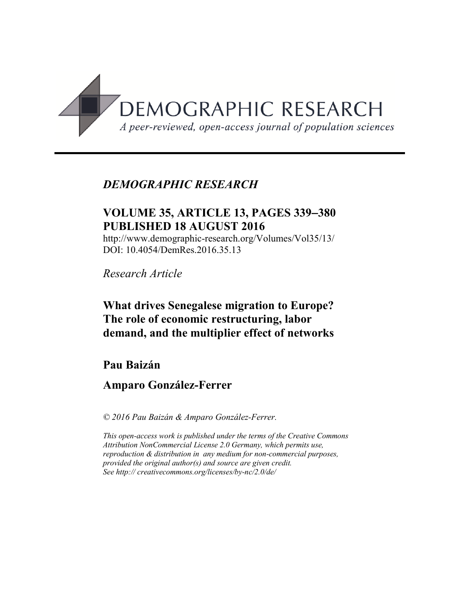

# *DEMOGRAPHIC RESEARCH*

# **VOLUME 35, ARTICLE 13, PAGES 339**−**380 PUBLISHED 18 AUGUST 2016**

http://www.demographic-research.org/Volumes/Vol35/13/ DOI: 10.4054/DemRes.2016.35.13

*Research Article*

# **What drives Senegalese migration to Europe? The role of economic restructuring, labor demand, and the multiplier effect of networks**

# **Pau Baizán**

## **Amparo González-Ferrer**

*© 2016 Pau Baizán & Amparo González-Ferrer.*

*This open-access work is published under the terms of the Creative Commons Attribution NonCommercial License 2.0 Germany, which permits use, reproduction & distribution in any medium for non-commercial purposes, provided the original author(s) and source are given credit. See http:// creativecommons.org/licenses/by-nc/2.0/de/*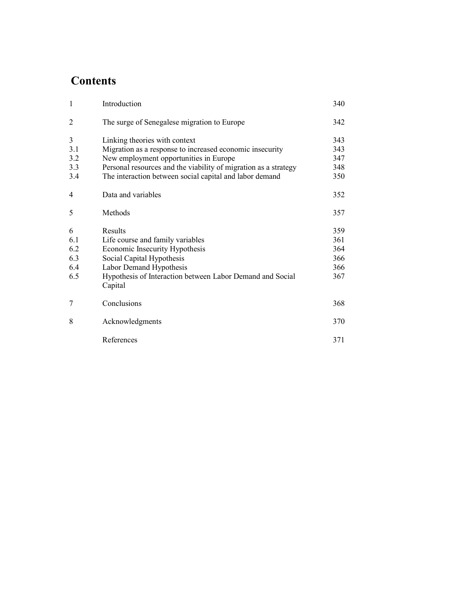# **Contents**

| $\mathbf{1}$   | Introduction                                                                                                               | 340        |
|----------------|----------------------------------------------------------------------------------------------------------------------------|------------|
| $\overline{2}$ | The surge of Senegalese migration to Europe                                                                                | 342        |
| 3              | Linking theories with context                                                                                              | 343        |
| 3.1            | Migration as a response to increased economic insecurity                                                                   | 343        |
| 3.2            | New employment opportunities in Europe                                                                                     | 347        |
| 3.3<br>3.4     | Personal resources and the viability of migration as a strategy<br>The interaction between social capital and labor demand | 348<br>350 |
| $\overline{4}$ | Data and variables                                                                                                         | 352        |
| 5              | Methods                                                                                                                    | 357        |
| 6              | Results                                                                                                                    | 359        |
| 6.1            | Life course and family variables                                                                                           | 361        |
| 6.2            | Economic Insecurity Hypothesis                                                                                             | 364        |
| 6.3            | Social Capital Hypothesis                                                                                                  | 366        |
| 6.4            | Labor Demand Hypothesis                                                                                                    | 366        |
| 6.5            | Hypothesis of Interaction between Labor Demand and Social<br>Capital                                                       | 367        |
| 7              | Conclusions                                                                                                                | 368        |
| 8              | Acknowledgments                                                                                                            | 370        |
|                | References                                                                                                                 | 371        |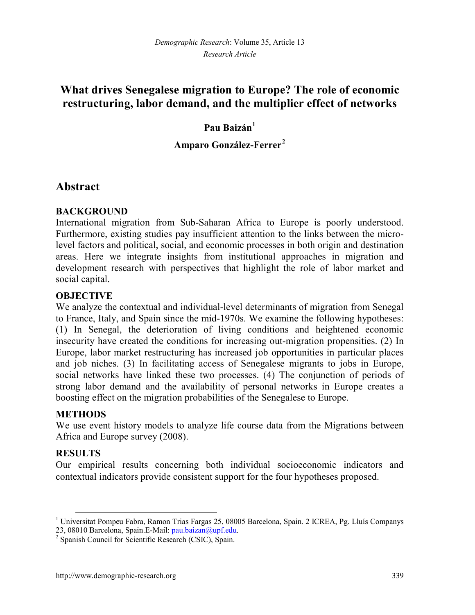# **What drives Senegalese migration to Europe? The role of economic restructuring, labor demand, and the multiplier effect of networks**

## **Pau Baizán[1](#page-2-0)**

## **Amparo González-Ferrer[2](#page-2-1)**

## **Abstract**

## **BACKGROUND**

International migration from Sub-Saharan Africa to Europe is poorly understood. Furthermore, existing studies pay insufficient attention to the links between the microlevel factors and political, social, and economic processes in both origin and destination areas. Here we integrate insights from institutional approaches in migration and development research with perspectives that highlight the role of labor market and social capital.

## **OBJECTIVE**

We analyze the contextual and individual-level determinants of migration from Senegal to France, Italy, and Spain since the mid-1970s. We examine the following hypotheses: (1) In Senegal, the deterioration of living conditions and heightened economic insecurity have created the conditions for increasing out-migration propensities. (2) In Europe, labor market restructuring has increased job opportunities in particular places and job niches. (3) In facilitating access of Senegalese migrants to jobs in Europe, social networks have linked these two processes. (4) The conjunction of periods of strong labor demand and the availability of personal networks in Europe creates a boosting effect on the migration probabilities of the Senegalese to Europe.

## **METHODS**

We use event history models to analyze life course data from the Migrations between Africa and Europe survey (2008).

## **RESULTS**

Our empirical results concerning both individual socioeconomic indicators and contextual indicators provide consistent support for the four hypotheses proposed.

<span id="page-2-0"></span><sup>&</sup>lt;sup>1</sup> Universitat Pompeu Fabra, Ramon Trias Fargas 25, 08005 Barcelona, Spain. 2 ICREA, Pg. Lluís Companys 23, 08010 Barcelona, Spain. E-Mail: pau.baizan@upf.edu.

<span id="page-2-1"></span><sup>&</sup>lt;sup>2</sup> Spanish Council for Scientific Research (CSIC), Spain.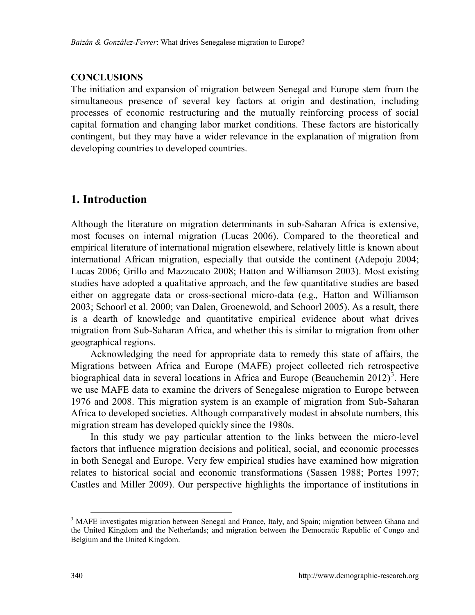## **CONCLUSIONS**

The initiation and expansion of migration between Senegal and Europe stem from the simultaneous presence of several key factors at origin and destination, including processes of economic restructuring and the mutually reinforcing process of social capital formation and changing labor market conditions. These factors are historically contingent, but they may have a wider relevance in the explanation of migration from developing countries to developed countries.

## **1. Introduction**

Although the literature on migration determinants in sub-Saharan Africa is extensive, most focuses on internal migration (Lucas 2006). Compared to the theoretical and empirical literature of international migration elsewhere, relatively little is known about international African migration, especially that outside the continent (Adepoju 2004; Lucas 2006; Grillo and Mazzucato 2008; Hatton and Williamson 2003). Most existing studies have adopted a qualitative approach, and the few quantitative studies are based either on aggregate data or cross-sectional micro-data (e.g.*,* Hatton and Williamson 2003; Schoorl et al. 2000; van Dalen, Groenewold, and Schoorl 2005). As a result, there is a dearth of knowledge and quantitative empirical evidence about what drives migration from Sub-Saharan Africa, and whether this is similar to migration from other geographical regions.

Acknowledging the need for appropriate data to remedy this state of affairs, the Migrations between Africa and Europe (MAFE) project collected rich retrospective biographical data in several locations in Africa and Europe (Beauchemin 2012)<sup>[3](#page-3-0)</sup>. Here we use MAFE data to examine the drivers of Senegalese migration to Europe between 1976 and 2008. This migration system is an example of migration from Sub-Saharan Africa to developed societies. Although comparatively modest in absolute numbers, this migration stream has developed quickly since the 1980s.

In this study we pay particular attention to the links between the micro-level factors that influence migration decisions and political, social, and economic processes in both Senegal and Europe. Very few empirical studies have examined how migration relates to historical social and economic transformations (Sassen 1988; Portes 1997; Castles and Miller 2009). Our perspective highlights the importance of institutions in

<span id="page-3-0"></span><sup>&</sup>lt;sup>3</sup> MAFE investigates migration between Senegal and France, Italy, and Spain; migration between Ghana and the United Kingdom and the Netherlands; and migration between the Democratic Republic of Congo and Belgium and the United Kingdom.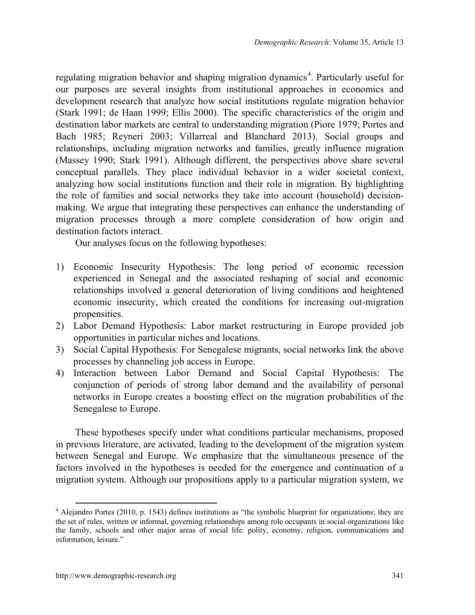regulating migration behavior and shaping migration dynamics<sup>[4](#page-4-0)</sup>. Particularly useful for our purposes are several insights from institutional approaches in economics and development research that analyze how social institutions regulate migration behavior (Stark 1991; de Haan 1999; Ellis 2000). The specific characteristics of the origin and destination labor markets are central to understanding migration (Piore 1979; Portes and Bach 1985; Reyneri 2003; Villarreal and Blanchard 2013). Social groups and relationships, including migration networks and families, greatly influence migration (Massey 1990; Stark 1991). Although different, the perspectives above share several conceptual parallels. They place individual behavior in a wider societal context, analyzing how social institutions function and their role in migration. By highlighting the role of families and social networks they take into account (household) decisionmaking. We argue that integrating these perspectives can enhance the understanding of migration processes through a more complete consideration of how origin and destination factors interact.

Our analyses focus on the following hypotheses:

- 1) Economic Insecurity Hypothesis: The long period of economic recession experienced in Senegal and the associated reshaping of social and economic relationships involved a general deterioration of living conditions and heightened economic insecurity, which created the conditions for increasing out-migration propensities.
- 2) Labor Demand Hypothesis: Labor market restructuring in Europe provided job opportunities in particular niches and locations.
- 3) Social Capital Hypothesis: For Senegalese migrants, social networks link the above processes by channeling job access in Europe.
- 4) Interaction between Labor Demand and Social Capital Hypothesis: The conjunction of periods of strong labor demand and the availability of personal networks in Europe creates a boosting effect on the migration probabilities of the Senegalese to Europe.

These hypotheses specify under what conditions particular mechanisms, proposed in previous literature, are activated, leading to the development of the migration system between Senegal and Europe. We emphasize that the simultaneous presence of the factors involved in the hypotheses is needed for the emergence and continuation of a migration system. Although our propositions apply to a particular migration system, we

<span id="page-4-0"></span> <sup>4</sup> Alejandro Portes (2010, p. 1543) defines institutions as "the symbolic blueprint for organizations; they are the set of rules, written or informal, governing relationships among role occupants in social organizations like the family, schools and other major areas of social life: polity, economy, religion, communications and information, leisure."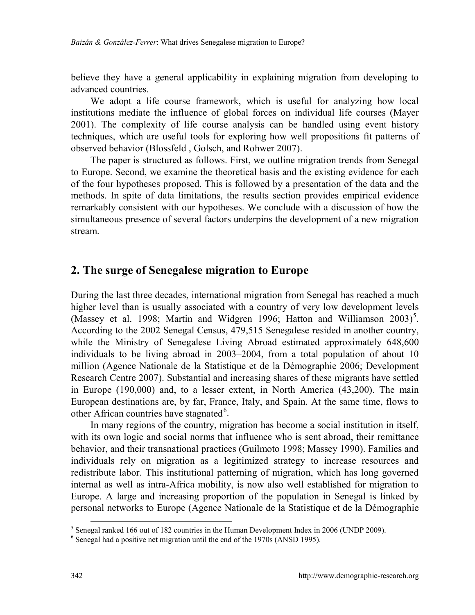believe they have a general applicability in explaining migration from developing to advanced countries.

We adopt a life course framework, which is useful for analyzing how local institutions mediate the influence of global forces on individual life courses (Mayer 2001). The complexity of life course analysis can be handled using event history techniques, which are useful tools for exploring how well propositions fit patterns of observed behavior (Blossfeld , Golsch, and Rohwer 2007).

The paper is structured as follows. First, we outline migration trends from Senegal to Europe. Second, we examine the theoretical basis and the existing evidence for each of the four hypotheses proposed. This is followed by a presentation of the data and the methods. In spite of data limitations, the results section provides empirical evidence remarkably consistent with our hypotheses. We conclude with a discussion of how the simultaneous presence of several factors underpins the development of a new migration stream.

## **2. The surge of Senegalese migration to Europe**

During the last three decades, international migration from Senegal has reached a much higher level than is usually associated with a country of very low development levels (Massey et al. 1998; Martin and Widgren 1996; Hatton and Williamson 2003)<sup>[5](#page-5-0)</sup>. According to the 2002 Senegal Census, 479,515 Senegalese resided in another country, while the Ministry of Senegalese Living Abroad estimated approximately 648,600 individuals to be living abroad in  $2003-2004$ , from a total population of about 10 million (Agence Nationale de la Statistique et de la Démographie 2006; Development Research Centre 2007). Substantial and increasing shares of these migrants have settled in Europe (190,000) and, to a lesser extent, in North America (43,200). The main European destinations are, by far, France, Italy, and Spain. At the same time, flows to other African countries have stagnated<sup>[6](#page-5-1)</sup>.

In many regions of the country, migration has become a social institution in itself, with its own logic and social norms that influence who is sent abroad, their remittance behavior, and their transnational practices (Guilmoto 1998; Massey 1990). Families and individuals rely on migration as a legitimized strategy to increase resources and redistribute labor. This institutional patterning of migration, which has long governed internal as well as intra-Africa mobility, is now also well established for migration to Europe. A large and increasing proportion of the population in Senegal is linked by personal networks to Europe (Agence Nationale de la Statistique et de la Démographie

<sup>&</sup>lt;sup>5</sup> Senegal ranked 166 out of 182 countries in the Human Development Index in 2006 (UNDP 2009).

<span id="page-5-1"></span><span id="page-5-0"></span><sup>6</sup> Senegal had a positive net migration until the end of the 1970s (ANSD 1995).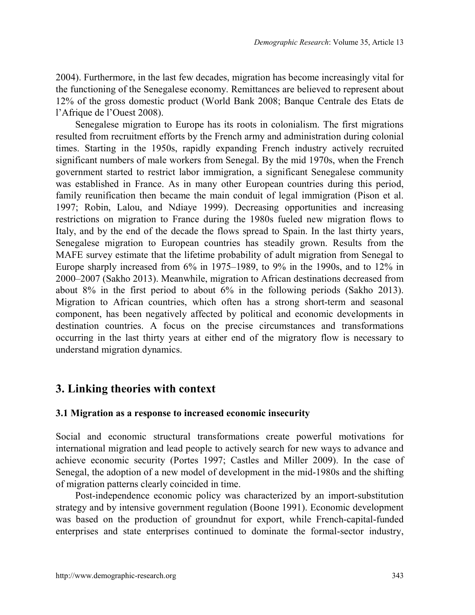2004). Furthermore, in the last few decades, migration has become increasingly vital for the functioning of the Senegalese economy. Remittances are believed to represent about 12% of the gross domestic product (World Bank 2008; Banque Centrale des Etats de l'Afrique de l'Ouest 2008).

Senegalese migration to Europe has its roots in colonialism. The first migrations resulted from recruitment efforts by the French army and administration during colonial times. Starting in the 1950s, rapidly expanding French industry actively recruited significant numbers of male workers from Senegal. By the mid 1970s, when the French government started to restrict labor immigration, a significant Senegalese community was established in France. As in many other European countries during this period, family reunification then became the main conduit of legal immigration (Pison et al. 1997; Robin, Lalou, and Ndiaye 1999). Decreasing opportunities and increasing restrictions on migration to France during the 1980s fueled new migration flows to Italy, and by the end of the decade the flows spread to Spain. In the last thirty years, Senegalese migration to European countries has steadily grown. Results from the MAFE survey estimate that the lifetime probability of adult migration from Senegal to Europe sharply increased from  $6\%$  in 1975–1989, to 9% in the 1990s, and to 12% in 2000‒2007 (Sakho 2013). Meanwhile, migration to African destinations decreased from about 8% in the first period to about 6% in the following periods (Sakho 2013). Migration to African countries, which often has a strong short-term and seasonal component, has been negatively affected by political and economic developments in destination countries. A focus on the precise circumstances and transformations occurring in the last thirty years at either end of the migratory flow is necessary to understand migration dynamics.

## **3. Linking theories with context**

## **3.1 Migration as a response to increased economic insecurity**

Social and economic structural transformations create powerful motivations for international migration and lead people to actively search for new ways to advance and achieve economic security (Portes 1997; Castles and Miller 2009). In the case of Senegal, the adoption of a new model of development in the mid-1980s and the shifting of migration patterns clearly coincided in time.

Post-independence economic policy was characterized by an import-substitution strategy and by intensive government regulation (Boone 1991). Economic development was based on the production of groundnut for export, while French-capital-funded enterprises and state enterprises continued to dominate the formal-sector industry,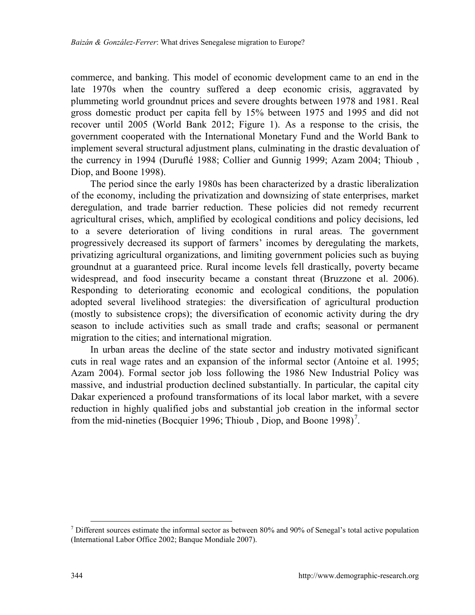commerce, and banking. This model of economic development came to an end in the late 1970s when the country suffered a deep economic crisis, aggravated by plummeting world groundnut prices and severe droughts between 1978 and 1981. Real gross domestic product per capita fell by 15% between 1975 and 1995 and did not recover until 2005 (World Bank 2012; Figure 1). As a response to the crisis, the government cooperated with the International Monetary Fund and the World Bank to implement several structural adjustment plans, culminating in the drastic devaluation of the currency in 1994 (Duruflé 1988; Collier and Gunnig 1999; Azam 2004; Thioub , Diop, and Boone 1998).

The period since the early 1980s has been characterized by a drastic liberalization of the economy, including the privatization and downsizing of state enterprises, market deregulation, and trade barrier reduction. These policies did not remedy recurrent agricultural crises, which, amplified by ecological conditions and policy decisions, led to a severe deterioration of living conditions in rural areas. The government progressively decreased its support of farmers' incomes by deregulating the markets, privatizing agricultural organizations, and limiting government policies such as buying groundnut at a guaranteed price. Rural income levels fell drastically, poverty became widespread, and food insecurity became a constant threat (Bruzzone et al. 2006). Responding to deteriorating economic and ecological conditions, the population adopted several livelihood strategies: the diversification of agricultural production (mostly to subsistence crops); the diversification of economic activity during the dry season to include activities such as small trade and crafts; seasonal or permanent migration to the cities; and international migration.

In urban areas the decline of the state sector and industry motivated significant cuts in real wage rates and an expansion of the informal sector (Antoine et al. 1995; Azam 2004). Formal sector job loss following the 1986 New Industrial Policy was massive, and industrial production declined substantially. In particular, the capital city Dakar experienced a profound transformations of its local labor market, with a severe reduction in highly qualified jobs and substantial job creation in the informal sector from the mid-nineties (Bocquier 1996; Thioub, Diop, and Boone 1998)<sup>[7](#page-7-0)</sup>.

<span id="page-7-0"></span> $<sup>7</sup>$  Different sources estimate the informal sector as between 80% and 90% of Senegal's total active population</sup> (International Labor Office 2002; Banque Mondiale 2007).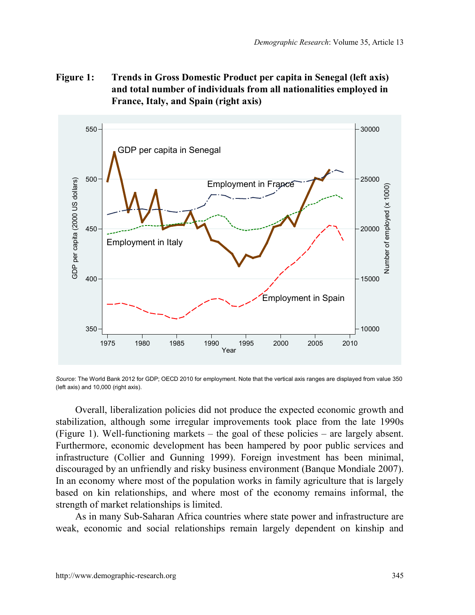**Figure 1: Trends in Gross Domestic Product per capita in Senegal (left axis) and total number of individuals from all nationalities employed in France, Italy, and Spain (right axis)**



*Source*: The World Bank 2012 for GDP; OECD 2010 for employment. Note that the vertical axis ranges are displayed from value 350 (left axis) and 10,000 (right axis).

Overall, liberalization policies did not produce the expected economic growth and stabilization, although some irregular improvements took place from the late 1990s (Figure 1). Well-functioning markets  $-$  the goal of these policies  $-$  are largely absent. Furthermore, economic development has been hampered by poor public services and infrastructure (Collier and Gunning 1999). Foreign investment has been minimal, discouraged by an unfriendly and risky business environment (Banque Mondiale 2007). In an economy where most of the population works in family agriculture that is largely based on kin relationships, and where most of the economy remains informal, the strength of market relationships is limited.

As in many Sub-Saharan Africa countries where state power and infrastructure are weak, economic and social relationships remain largely dependent on kinship and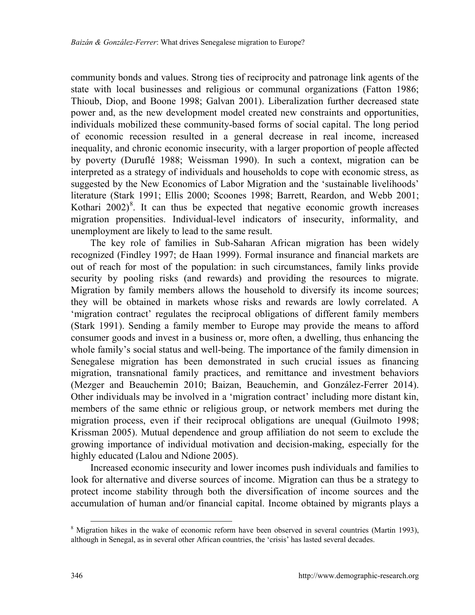community bonds and values. Strong ties of reciprocity and patronage link agents of the state with local businesses and religious or communal organizations (Fatton 1986; Thioub, Diop, and Boone 1998; Galvan 2001). Liberalization further decreased state power and, as the new development model created new constraints and opportunities, individuals mobilized these community-based forms of social capital. The long period of economic recession resulted in a general decrease in real income, increased inequality, and chronic economic insecurity, with a larger proportion of people affected by poverty (Duruflé 1988; Weissman 1990). In such a context, migration can be interpreted as a strategy of individuals and households to cope with economic stress, as suggested by the New Economics of Labor Migration and the 'sustainable livelihoods' literature (Stark 1991; Ellis 2000; Scoones 1998; Barrett, Reardon, and Webb 2001; Kothari  $2002)^8$  $2002)^8$ . It can thus be expected that negative economic growth increases migration propensities. Individual-level indicators of insecurity, informality, and unemployment are likely to lead to the same result.

The key role of families in Sub-Saharan African migration has been widely recognized (Findley 1997; de Haan 1999). Formal insurance and financial markets are out of reach for most of the population: in such circumstances, family links provide security by pooling risks (and rewards) and providing the resources to migrate. Migration by family members allows the household to diversify its income sources; they will be obtained in markets whose risks and rewards are lowly correlated. A 'migration contract' regulates the reciprocal obligations of different family members (Stark 1991). Sending a family member to Europe may provide the means to afford consumer goods and invest in a business or, more often, a dwelling, thus enhancing the whole family's social status and well-being. The importance of the family dimension in Senegalese migration has been demonstrated in such crucial issues as financing migration, transnational family practices, and remittance and investment behaviors (Mezger and Beauchemin 2010; Baizan, Beauchemin, and González-Ferrer 2014). Other individuals may be involved in a 'migration contract' including more distant kin, members of the same ethnic or religious group, or network members met during the migration process, even if their reciprocal obligations are unequal (Guilmoto 1998; Krissman 2005). Mutual dependence and group affiliation do not seem to exclude the growing importance of individual motivation and decision-making, especially for the highly educated (Lalou and Ndione 2005).

Increased economic insecurity and lower incomes push individuals and families to look for alternative and diverse sources of income. Migration can thus be a strategy to protect income stability through both the diversification of income sources and the accumulation of human and/or financial capital. Income obtained by migrants plays a

<span id="page-9-0"></span> <sup>8</sup> Migration hikes in the wake of economic reform have been observed in several countries (Martin 1993), although in Senegal, as in several other African countries, the 'crisis' has lasted several decades.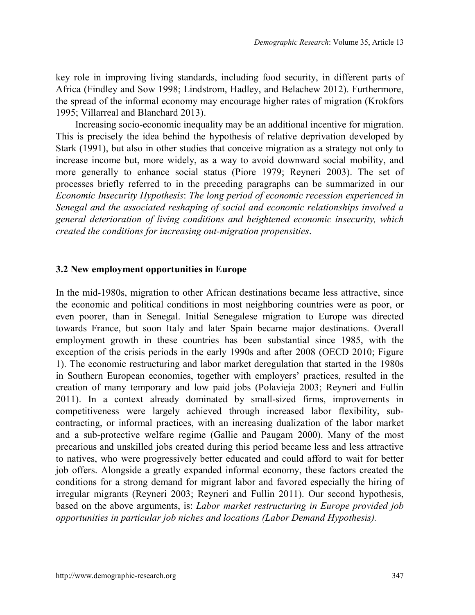key role in improving living standards, including food security, in different parts of Africa (Findley and Sow 1998; Lindstrom, Hadley, and Belachew 2012). Furthermore, the spread of the informal economy may encourage higher rates of migration (Krokfors 1995; Villarreal and Blanchard 2013).

Increasing socio-economic inequality may be an additional incentive for migration. This is precisely the idea behind the hypothesis of relative deprivation developed by Stark (1991), but also in other studies that conceive migration as a strategy not only to increase income but, more widely, as a way to avoid downward social mobility, and more generally to enhance social status (Piore 1979; Reyneri 2003). The set of processes briefly referred to in the preceding paragraphs can be summarized in our *Economic Insecurity Hypothesis*: *The long period of economic recession experienced in Senegal and the associated reshaping of social and economic relationships involved a general deterioration of living conditions and heightened economic insecurity, which created the conditions for increasing out-migration propensities*.

#### **3.2 New employment opportunities in Europe**

In the mid-1980s, migration to other African destinations became less attractive, since the economic and political conditions in most neighboring countries were as poor, or even poorer, than in Senegal. Initial Senegalese migration to Europe was directed towards France, but soon Italy and later Spain became major destinations. Overall employment growth in these countries has been substantial since 1985, with the exception of the crisis periods in the early 1990s and after 2008 (OECD 2010; Figure 1). The economic restructuring and labor market deregulation that started in the 1980s in Southern European economies, together with employers' practices, resulted in the creation of many temporary and low paid jobs (Polavieja 2003; Reyneri and Fullin 2011). In a context already dominated by small-sized firms, improvements in competitiveness were largely achieved through increased labor flexibility, subcontracting, or informal practices, with an increasing dualization of the labor market and a sub-protective welfare regime (Gallie and Paugam 2000). Many of the most precarious and unskilled jobs created during this period became less and less attractive to natives, who were progressively better educated and could afford to wait for better job offers. Alongside a greatly expanded informal economy, these factors created the conditions for a strong demand for migrant labor and favored especially the hiring of irregular migrants (Reyneri 2003; Reyneri and Fullin 2011). Our second hypothesis, based on the above arguments, is: *Labor market restructuring in Europe provided job opportunities in particular job niches and locations (Labor Demand Hypothesis).*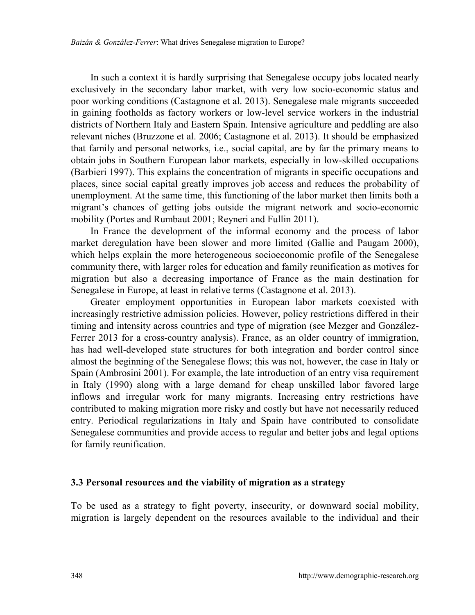In such a context it is hardly surprising that Senegalese occupy jobs located nearly exclusively in the secondary labor market, with very low socio-economic status and poor working conditions (Castagnone et al. 2013). Senegalese male migrants succeeded in gaining footholds as factory workers or low-level service workers in the industrial districts of Northern Italy and Eastern Spain. Intensive agriculture and peddling are also relevant niches (Bruzzone et al. 2006; Castagnone et al. 2013). It should be emphasized that family and personal networks, i.e., social capital, are by far the primary means to obtain jobs in Southern European labor markets, especially in low-skilled occupations (Barbieri 1997). This explains the concentration of migrants in specific occupations and places, since social capital greatly improves job access and reduces the probability of unemployment. At the same time, this functioning of the labor market then limits both a migrant's chances of getting jobs outside the migrant network and socio-economic mobility (Portes and Rumbaut 2001; Reyneri and Fullin 2011).

In France the development of the informal economy and the process of labor market deregulation have been slower and more limited (Gallie and Paugam 2000), which helps explain the more heterogeneous socioeconomic profile of the Senegalese community there, with larger roles for education and family reunification as motives for migration but also a decreasing importance of France as the main destination for Senegalese in Europe, at least in relative terms (Castagnone et al. 2013).

Greater employment opportunities in European labor markets coexisted with increasingly restrictive admission policies. However, policy restrictions differed in their timing and intensity across countries and type of migration (see Mezger and González-Ferrer 2013 for a cross-country analysis). France, as an older country of immigration, has had well-developed state structures for both integration and border control since almost the beginning of the Senegalese flows; this was not, however, the case in Italy or Spain (Ambrosini 2001). For example, the late introduction of an entry visa requirement in Italy (1990) along with a large demand for cheap unskilled labor favored large inflows and irregular work for many migrants. Increasing entry restrictions have contributed to making migration more risky and costly but have not necessarily reduced entry. Periodical regularizations in Italy and Spain have contributed to consolidate Senegalese communities and provide access to regular and better jobs and legal options for family reunification.

#### **3.3 Personal resources and the viability of migration as a strategy**

To be used as a strategy to fight poverty, insecurity, or downward social mobility, migration is largely dependent on the resources available to the individual and their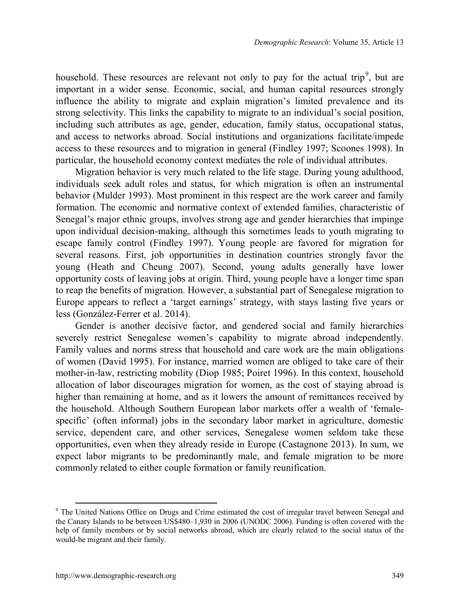household. These resources are relevant not only to pay for the actual trip<sup>[9](#page-12-0)</sup>, but are important in a wider sense. Economic, social, and human capital resources strongly influence the ability to migrate and explain migration's limited prevalence and its strong selectivity. This links the capability to migrate to an individual's social position, including such attributes as age, gender, education, family status, occupational status, and access to networks abroad. Social institutions and organizations facilitate/impede access to these resources and to migration in general (Findley 1997; Scoones 1998). In particular, the household economy context mediates the role of individual attributes.

Migration behavior is very much related to the life stage. During young adulthood, individuals seek adult roles and status, for which migration is often an instrumental behavior (Mulder 1993). Most prominent in this respect are the work career and family formation. The economic and normative context of extended families, characteristic of Senegal's major ethnic groups, involves strong age and gender hierarchies that impinge upon individual decision-making, although this sometimes leads to youth migrating to escape family control (Findley 1997). Young people are favored for migration for several reasons. First, job opportunities in destination countries strongly favor the young (Heath and Cheung 2007). Second, young adults generally have lower opportunity costs of leaving jobs at origin. Third, young people have a longer time span to reap the benefits of migration. However, a substantial part of Senegalese migration to Europe appears to reflect a 'target earnings' strategy, with stays lasting five years or less (González-Ferrer et al. 2014).

Gender is another decisive factor, and gendered social and family hierarchies severely restrict Senegalese women's capability to migrate abroad independently. Family values and norms stress that household and care work are the main obligations of women (David 1995). For instance, married women are obliged to take care of their mother-in-law, restricting mobility (Diop 1985; Poiret 1996). In this context, household allocation of labor discourages migration for women, as the cost of staying abroad is higher than remaining at home, and as it lowers the amount of remittances received by the household. Although Southern European labor markets offer a wealth of 'femalespecific' (often informal) jobs in the secondary labor market in agriculture, domestic service, dependent care, and other services, Senegalese women seldom take these opportunities, even when they already reside in Europe (Castagnone 2013). In sum, we expect labor migrants to be predominantly male, and female migration to be more commonly related to either couple formation or family reunification.

<span id="page-12-0"></span> <sup>9</sup> The United Nations Office on Drugs and Crime estimated the cost of irregular travel between Senegal and the Canary Islands to be between US\$480–1,930 in 2006 (UNODC 2006). Funding is often covered with the help of family members or by social networks abroad, which are clearly related to the social status of the would-be migrant and their family.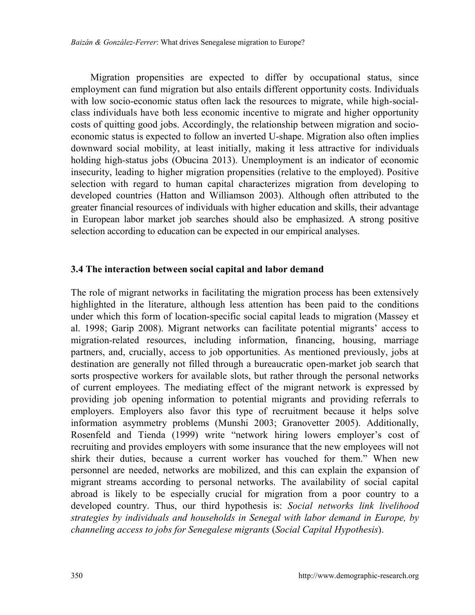Migration propensities are expected to differ by occupational status, since employment can fund migration but also entails different opportunity costs. Individuals with low socio-economic status often lack the resources to migrate, while high-socialclass individuals have both less economic incentive to migrate and higher opportunity costs of quitting good jobs. Accordingly, the relationship between migration and socioeconomic status is expected to follow an inverted U-shape. Migration also often implies downward social mobility, at least initially, making it less attractive for individuals holding high-status jobs (Obucina 2013). Unemployment is an indicator of economic insecurity, leading to higher migration propensities (relative to the employed). Positive selection with regard to human capital characterizes migration from developing to developed countries (Hatton and Williamson 2003). Although often attributed to the greater financial resources of individuals with higher education and skills, their advantage in European labor market job searches should also be emphasized. A strong positive selection according to education can be expected in our empirical analyses.

#### **3.4 The interaction between social capital and labor demand**

The role of migrant networks in facilitating the migration process has been extensively highlighted in the literature, although less attention has been paid to the conditions under which this form of location-specific social capital leads to migration (Massey et al. 1998; Garip 2008). Migrant networks can facilitate potential migrants' access to migration-related resources, including information, financing, housing, marriage partners, and, crucially, access to job opportunities. As mentioned previously, jobs at destination are generally not filled through a bureaucratic open-market job search that sorts prospective workers for available slots, but rather through the personal networks of current employees. The mediating effect of the migrant network is expressed by providing job opening information to potential migrants and providing referrals to employers. Employers also favor this type of recruitment because it helps solve information asymmetry problems (Munshi 2003; Granovetter 2005). Additionally, Rosenfeld and Tienda (1999) write "network hiring lowers employer's cost of recruiting and provides employers with some insurance that the new employees will not shirk their duties, because a current worker has vouched for them." When new personnel are needed, networks are mobilized, and this can explain the expansion of migrant streams according to personal networks. The availability of social capital abroad is likely to be especially crucial for migration from a poor country to a developed country. Thus, our third hypothesis is: *Social networks link livelihood strategies by individuals and households in Senegal with labor demand in Europe, by channeling access to jobs for Senegalese migrants* (*Social Capital Hypothesis*).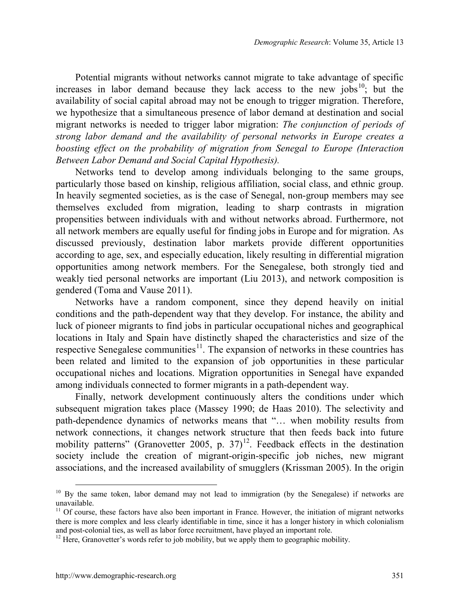Potential migrants without networks cannot migrate to take advantage of specific increases in labor demand because they lack access to the new jobs<sup>[10](#page-14-0)</sup>; but the availability of social capital abroad may not be enough to trigger migration. Therefore, we hypothesize that a simultaneous presence of labor demand at destination and social migrant networks is needed to trigger labor migration: *The conjunction of periods of strong labor demand and the availability of personal networks in Europe creates a boosting effect on the probability of migration from Senegal to Europe (Interaction Between Labor Demand and Social Capital Hypothesis).*

Networks tend to develop among individuals belonging to the same groups, particularly those based on kinship, religious affiliation, social class, and ethnic group. In heavily segmented societies, as is the case of Senegal, non-group members may see themselves excluded from migration, leading to sharp contrasts in migration propensities between individuals with and without networks abroad. Furthermore, not all network members are equally useful for finding jobs in Europe and for migration. As discussed previously, destination labor markets provide different opportunities according to age, sex, and especially education, likely resulting in differential migration opportunities among network members. For the Senegalese, both strongly tied and weakly tied personal networks are important (Liu 2013), and network composition is gendered (Toma and Vause 2011).

Networks have a random component, since they depend heavily on initial conditions and the path-dependent way that they develop. For instance, the ability and luck of pioneer migrants to find jobs in particular occupational niches and geographical locations in Italy and Spain have distinctly shaped the characteristics and size of the respective Senegalese communities<sup>11</sup>. The expansion of networks in these countries has been related and limited to the expansion of job opportunities in these particular occupational niches and locations. Migration opportunities in Senegal have expanded among individuals connected to former migrants in a path-dependent way.

Finally, network development continuously alters the conditions under which subsequent migration takes place (Massey 1990; de Haas 2010). The selectivity and path-dependence dynamics of networks means that "… when mobility results from network connections, it changes network structure that then feeds back into future mobility patterns" (Granovetter 2005, p. 37)<sup>[12](#page-14-2)</sup>. Feedback effects in the destination society include the creation of migrant-origin-specific job niches, new migrant associations, and the increased availability of smugglers (Krissman 2005). In the origin

<span id="page-14-0"></span><sup>&</sup>lt;sup>10</sup> By the same token, labor demand may not lead to immigration (by the Senegalese) if networks are unavailable.

<span id="page-14-1"></span><sup>&</sup>lt;sup>11</sup> Of course, these factors have also been important in France. However, the initiation of migrant networks there is more complex and less clearly identifiable in time, since it has a longer history in which colonialism and post-colonial ties, as well as labor force recruitment, have played an important role.

<span id="page-14-2"></span> $12$  Here, Granovetter's words refer to job mobility, but we apply them to geographic mobility.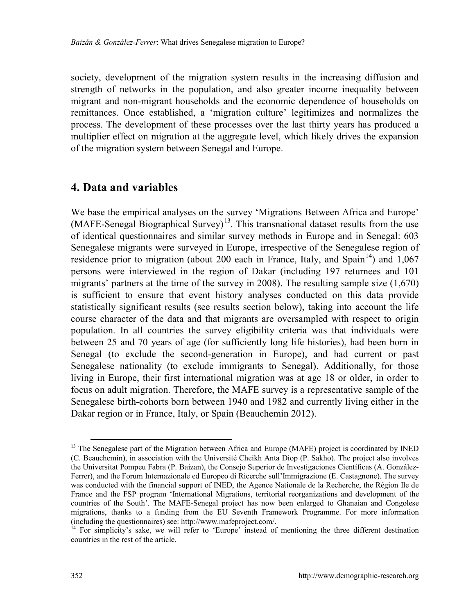society, development of the migration system results in the increasing diffusion and strength of networks in the population, and also greater income inequality between migrant and non-migrant households and the economic dependence of households on remittances. Once established, a 'migration culture' legitimizes and normalizes the process. The development of these processes over the last thirty years has produced a multiplier effect on migration at the aggregate level, which likely drives the expansion of the migration system between Senegal and Europe.

## **4. Data and variables**

We base the empirical analyses on the survey 'Migrations Between Africa and Europe'  $(MAFE-Senegal Biographical Survey)<sup>13</sup>$  $(MAFE-Senegal Biographical Survey)<sup>13</sup>$  $(MAFE-Senegal Biographical Survey)<sup>13</sup>$ . This transnational dataset results from the use of identical questionnaires and similar survey methods in Europe and in Senegal: 603 Senegalese migrants were surveyed in Europe, irrespective of the Senegalese region of residence prior to migration (about 200 each in France, Italy, and Spain<sup>14</sup>) and 1,067 persons were interviewed in the region of Dakar (including 197 returnees and 101 migrants' partners at the time of the survey in 2008). The resulting sample size (1,670) is sufficient to ensure that event history analyses conducted on this data provide statistically significant results (see results section below), taking into account the life course character of the data and that migrants are oversampled with respect to origin population. In all countries the survey eligibility criteria was that individuals were between 25 and 70 years of age (for sufficiently long life histories), had been born in Senegal (to exclude the second-generation in Europe), and had current or past Senegalese nationality (to exclude immigrants to Senegal). Additionally, for those living in Europe, their first international migration was at age 18 or older, in order to focus on adult migration. Therefore, the MAFE survey is a representative sample of the Senegalese birth-cohorts born between 1940 and 1982 and currently living either in the Dakar region or in France, Italy, or Spain (Beauchemin 2012).

<span id="page-15-0"></span><sup>&</sup>lt;sup>13</sup> The Senegalese part of the Migration between Africa and Europe (MAFE) project is coordinated by INED (C. Beauchemin), in association with the Université Cheikh Anta Diop (P. Sakho). The project also involves the Universitat Pompeu Fabra (P. Baizan), the Consejo Superior de Investigaciones Científicas (A. González-Ferrer), and the Forum Internazionale ed Europeo di Ricerche sull'Immigrazione (E. Castagnone). The survey was conducted with the financial support of INED, the Agence Nationale de la Recherche, the Région Ile de France and the FSP program 'International Migrations, territorial reorganizations and development of the countries of the South'. The MAFE-Senegal project has now been enlarged to Ghanaian and Congolese migrations, thanks to a funding from the EU Seventh Framework Programme. For more information (including the questionnaires) see: http://www.mafeproject.com/.

<span id="page-15-1"></span> $\hat{I}^4$  For simplicity's sake, we will refer to 'Europe' instead of mentioning the three different destination countries in the rest of the article.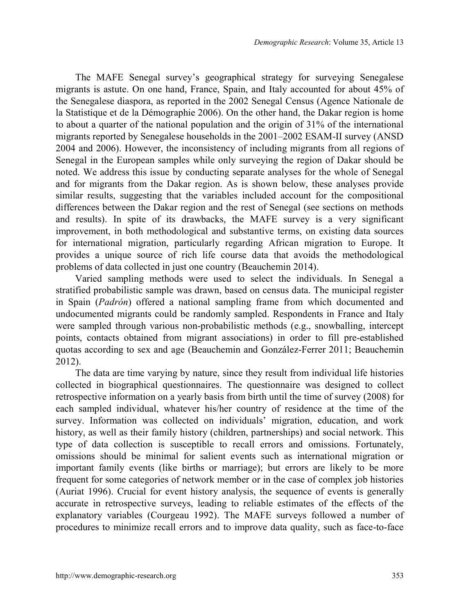The MAFE Senegal survey's geographical strategy for surveying Senegalese migrants is astute. On one hand, France, Spain, and Italy accounted for about 45% of the Senegalese diaspora, as reported in the 2002 Senegal Census (Agence Nationale de la Statistique et de la Démographie 2006). On the other hand, the Dakar region is home to about a quarter of the national population and the origin of 31% of the international migrants reported by Senegalese households in the 2001–2002 ESAM-II survey (ANSD) 2004 and 2006). However, the inconsistency of including migrants from all regions of Senegal in the European samples while only surveying the region of Dakar should be noted. We address this issue by conducting separate analyses for the whole of Senegal and for migrants from the Dakar region. As is shown below, these analyses provide similar results, suggesting that the variables included account for the compositional differences between the Dakar region and the rest of Senegal (see sections on methods and results). In spite of its drawbacks, the MAFE survey is a very significant improvement, in both methodological and substantive terms, on existing data sources for international migration, particularly regarding African migration to Europe. It provides a unique source of rich life course data that avoids the methodological problems of data collected in just one country (Beauchemin 2014).

Varied sampling methods were used to select the individuals. In Senegal a stratified probabilistic sample was drawn, based on census data. The municipal register in Spain (*Padrón*) offered a national sampling frame from which documented and undocumented migrants could be randomly sampled. Respondents in France and Italy were sampled through various non-probabilistic methods (e.g., snowballing, intercept points, contacts obtained from migrant associations) in order to fill pre-established quotas according to sex and age (Beauchemin and González-Ferrer 2011; Beauchemin 2012).

The data are time varying by nature, since they result from individual life histories collected in biographical questionnaires. The questionnaire was designed to collect retrospective information on a yearly basis from birth until the time of survey (2008) for each sampled individual, whatever his/her country of residence at the time of the survey. Information was collected on individuals' migration, education, and work history, as well as their family history (children, partnerships) and social network. This type of data collection is susceptible to recall errors and omissions. Fortunately, omissions should be minimal for salient events such as international migration or important family events (like births or marriage); but errors are likely to be more frequent for some categories of network member or in the case of complex job histories (Auriat 1996). Crucial for event history analysis, the sequence of events is generally accurate in retrospective surveys, leading to reliable estimates of the effects of the explanatory variables (Courgeau 1992). The MAFE surveys followed a number of procedures to minimize recall errors and to improve data quality, such as face-to-face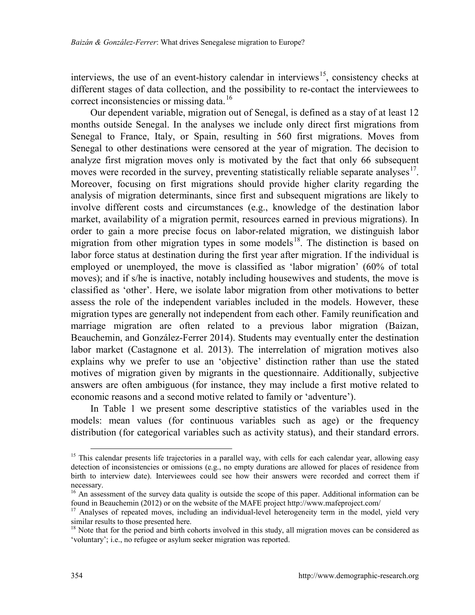interviews, the use of an event-history calendar in interviews<sup>[15](#page-17-0)</sup>, consistency checks at different stages of data collection, and the possibility to re-contact the interviewees to correct inconsistencies or missing data.<sup>[16](#page-17-1)</sup>

Our dependent variable, migration out of Senegal, is defined as a stay of at least 12 months outside Senegal. In the analyses we include only direct first migrations from Senegal to France, Italy, or Spain, resulting in 560 first migrations. Moves from Senegal to other destinations were censored at the year of migration. The decision to analyze first migration moves only is motivated by the fact that only 66 subsequent moves were recorded in the survey, preventing statistically reliable separate analyses<sup>17</sup>. Moreover, focusing on first migrations should provide higher clarity regarding the analysis of migration determinants, since first and subsequent migrations are likely to involve different costs and circumstances (e.g., knowledge of the destination labor market, availability of a migration permit, resources earned in previous migrations). In order to gain a more precise focus on labor-related migration, we distinguish labor migration from other migration types in some models $18$ . The distinction is based on labor force status at destination during the first year after migration. If the individual is employed or unemployed, the move is classified as 'labor migration' (60% of total moves); and if s/he is inactive, notably including housewives and students, the move is classified as 'other'. Here, we isolate labor migration from other motivations to better assess the role of the independent variables included in the models. However, these migration types are generally not independent from each other. Family reunification and marriage migration are often related to a previous labor migration (Baizan, Beauchemin, and González-Ferrer 2014). Students may eventually enter the destination labor market (Castagnone et al. 2013). The interrelation of migration motives also explains why we prefer to use an 'objective' distinction rather than use the stated motives of migration given by migrants in the questionnaire. Additionally, subjective answers are often ambiguous (for instance, they may include a first motive related to economic reasons and a second motive related to family or 'adventure').

In Table 1 we present some descriptive statistics of the variables used in the models: mean values (for continuous variables such as age) or the frequency distribution (for categorical variables such as activity status), and their standard errors.

<span id="page-17-0"></span><sup>&</sup>lt;sup>15</sup> This calendar presents life trajectories in a parallel way, with cells for each calendar year, allowing easy detection of inconsistencies or omissions (e.g., no empty durations are allowed for places of residence from birth to interview date). Interviewees could see how their answers were recorded and correct them if necessary.

<span id="page-17-1"></span><sup>&</sup>lt;sup>16</sup> An assessment of the survey data quality is outside the scope of this paper. Additional information can be found in Beauchemin (2012) or on the website of the MAFE project http://www.mafeproject.com/

<span id="page-17-2"></span><sup>&</sup>lt;sup>17</sup> Analyses of repeated moves, including an individual-level heterogeneity term in the model, yield very similar results to those presented here.

<span id="page-17-3"></span><sup>&</sup>lt;sup>18</sup> Note that for the period and birth cohorts involved in this study, all migration moves can be considered as 'voluntary'; i.e., no refugee or asylum seeker migration was reported.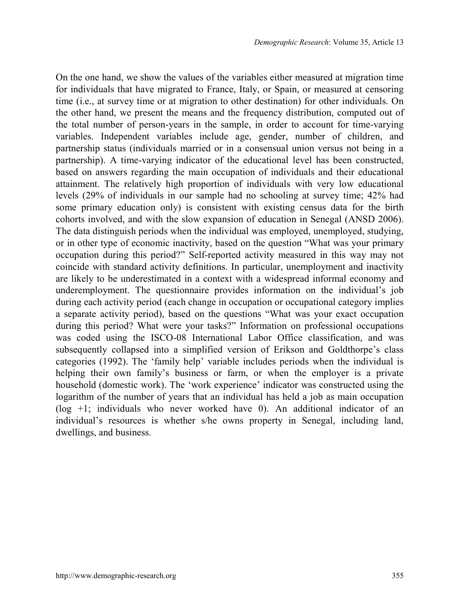On the one hand, we show the values of the variables either measured at migration time for individuals that have migrated to France, Italy, or Spain, or measured at censoring time (i.e., at survey time or at migration to other destination) for other individuals. On the other hand, we present the means and the frequency distribution, computed out of the total number of person-years in the sample, in order to account for time-varying variables. Independent variables include age, gender, number of children, and partnership status (individuals married or in a consensual union versus not being in a partnership). A time-varying indicator of the educational level has been constructed, based on answers regarding the main occupation of individuals and their educational attainment. The relatively high proportion of individuals with very low educational levels (29% of individuals in our sample had no schooling at survey time; 42% had some primary education only) is consistent with existing census data for the birth cohorts involved, and with the slow expansion of education in Senegal (ANSD 2006). The data distinguish periods when the individual was employed, unemployed, studying, or in other type of economic inactivity, based on the question "What was your primary occupation during this period?" Self-reported activity measured in this way may not coincide with standard activity definitions. In particular, unemployment and inactivity are likely to be underestimated in a context with a widespread informal economy and underemployment. The questionnaire provides information on the individual's job during each activity period (each change in occupation or occupational category implies a separate activity period), based on the questions "What was your exact occupation during this period? What were your tasks?" Information on professional occupations was coded using the ISCO-08 International Labor Office classification, and was subsequently collapsed into a simplified version of Erikson and Goldthorpe's class categories (1992). The 'family help' variable includes periods when the individual is helping their own family's business or farm, or when the employer is a private household (domestic work). The 'work experience' indicator was constructed using the logarithm of the number of years that an individual has held a job as main occupation (log +1; individuals who never worked have 0). An additional indicator of an individual's resources is whether s/he owns property in Senegal, including land, dwellings, and business.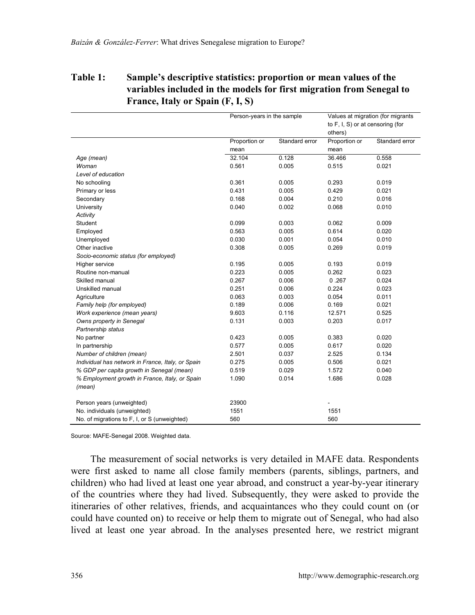## **Table 1: Sample's descriptive statistics: proportion or mean values of the variables included in the models for first migration from Senegal to France, Italy or Spain (F, I, S)**

|                                                   | Person-years in the sample |                | Values at migration (for migrants<br>to F, I, S) or at censoring (for |                |  |
|---------------------------------------------------|----------------------------|----------------|-----------------------------------------------------------------------|----------------|--|
|                                                   |                            |                | others)                                                               |                |  |
|                                                   | Proportion or              | Standard error | Proportion or                                                         | Standard error |  |
|                                                   | mean                       |                | mean                                                                  |                |  |
| Age (mean)                                        | 32.104                     | 0.128          | 36.466                                                                | 0.558          |  |
| Woman                                             | 0.561                      | 0.005          | 0.515                                                                 | 0.021          |  |
| Level of education                                |                            |                |                                                                       |                |  |
| No schooling                                      | 0.361                      | 0.005          | 0.293                                                                 | 0.019          |  |
| Primary or less                                   | 0.431                      | 0.005          | 0.429                                                                 | 0.021          |  |
| Secondary                                         | 0.168                      | 0.004          | 0.210                                                                 | 0.016          |  |
| University                                        | 0.040                      | 0.002          | 0.068                                                                 | 0.010          |  |
| Activity                                          |                            |                |                                                                       |                |  |
| Student                                           | 0.099                      | 0.003          | 0.062                                                                 | 0.009          |  |
| Employed                                          | 0.563                      | 0.005          | 0.614                                                                 | 0.020          |  |
| Unemployed                                        | 0.030                      | 0.001          | 0.054                                                                 | 0.010          |  |
| Other inactive                                    | 0.308                      | 0.005          | 0.269                                                                 | 0.019          |  |
| Socio-economic status (for employed)              |                            |                |                                                                       |                |  |
| Higher service                                    | 0.195                      | 0.005          | 0.193                                                                 | 0.019          |  |
| Routine non-manual                                | 0.223                      | 0.005          | 0.262                                                                 | 0.023          |  |
| Skilled manual                                    | 0.267                      | 0.006          | 0.267                                                                 | 0.024          |  |
| Unskilled manual                                  | 0.251                      | 0.006          | 0.224                                                                 | 0.023          |  |
| Agriculture                                       | 0.063                      | 0.003          | 0.054                                                                 | 0.011          |  |
| Family help (for employed)                        | 0.189                      | 0.006          | 0.169                                                                 | 0.021          |  |
| Work experience (mean years)                      | 9.603                      | 0.116          | 12.571                                                                | 0.525          |  |
| Owns property in Senegal                          | 0.131                      | 0.003          | 0.203                                                                 | 0.017          |  |
| Partnership status                                |                            |                |                                                                       |                |  |
| No partner                                        | 0.423                      | 0.005          | 0.383                                                                 | 0.020          |  |
| In partnership                                    | 0.577                      | 0.005          | 0.617                                                                 | 0.020          |  |
| Number of children (mean)                         | 2.501                      | 0.037          | 2.525                                                                 | 0.134          |  |
| Individual has network in France, Italy, or Spain | 0.275                      | 0.005          | 0.506                                                                 | 0.021          |  |
| % GDP per capita growth in Senegal (mean)         | 0.519                      | 0.029          | 1.572                                                                 | 0.040          |  |
| % Employment growth in France, Italy, or Spain    | 1.090                      | 0.014          | 1.686                                                                 | 0.028          |  |
| (mean)                                            |                            |                |                                                                       |                |  |
| Person years (unweighted)                         | 23900                      |                |                                                                       |                |  |
| No. individuals (unweighted)                      | 1551                       |                | 1551                                                                  |                |  |
| No. of migrations to F, I, or S (unweighted)      | 560                        |                | 560                                                                   |                |  |

Source: MAFE-Senegal 2008. Weighted data.

The measurement of social networks is very detailed in MAFE data. Respondents were first asked to name all close family members (parents, siblings, partners, and children) who had lived at least one year abroad, and construct a year-by-year itinerary of the countries where they had lived. Subsequently, they were asked to provide the itineraries of other relatives, friends, and acquaintances who they could count on (or could have counted on) to receive or help them to migrate out of Senegal, who had also lived at least one year abroad. In the analyses presented here, we restrict migrant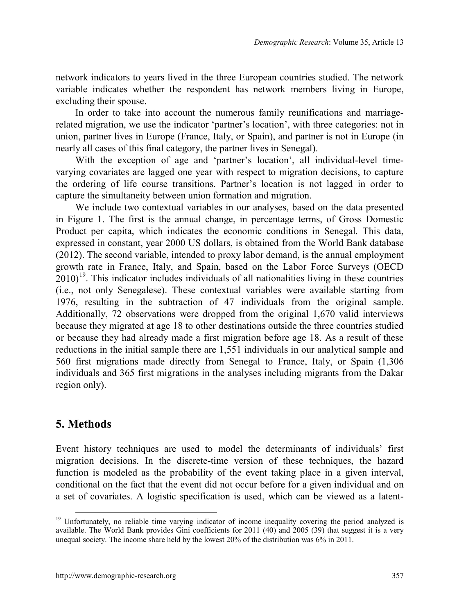network indicators to years lived in the three European countries studied. The network variable indicates whether the respondent has network members living in Europe, excluding their spouse.

In order to take into account the numerous family reunifications and marriagerelated migration, we use the indicator 'partner's location', with three categories: not in union, partner lives in Europe (France, Italy, or Spain), and partner is not in Europe (in nearly all cases of this final category, the partner lives in Senegal).

With the exception of age and 'partner's location', all individual-level timevarying covariates are lagged one year with respect to migration decisions, to capture the ordering of life course transitions. Partner's location is not lagged in order to capture the simultaneity between union formation and migration.

We include two contextual variables in our analyses, based on the data presented in Figure 1. The first is the annual change, in percentage terms, of Gross Domestic Product per capita, which indicates the economic conditions in Senegal. This data, expressed in constant, year 2000 US dollars, is obtained from the World Bank database (2012). The second variable, intended to proxy labor demand, is the annual employment growth rate in France, Italy, and Spain, based on the Labor Force Surveys (OECD  $2010$ <sup>[19](#page-20-0)</sup>. This indicator includes individuals of all nationalities living in these countries (i.e., not only Senegalese). These contextual variables were available starting from 1976, resulting in the subtraction of 47 individuals from the original sample. Additionally, 72 observations were dropped from the original 1,670 valid interviews because they migrated at age 18 to other destinations outside the three countries studied or because they had already made a first migration before age 18. As a result of these reductions in the initial sample there are 1,551 individuals in our analytical sample and 560 first migrations made directly from Senegal to France, Italy, or Spain (1,306 individuals and 365 first migrations in the analyses including migrants from the Dakar region only).

## **5. Methods**

Event history techniques are used to model the determinants of individuals' first migration decisions. In the discrete-time version of these techniques, the hazard function is modeled as the probability of the event taking place in a given interval, conditional on the fact that the event did not occur before for a given individual and on a set of covariates. A logistic specification is used, which can be viewed as a latent-

<span id="page-20-0"></span><sup>&</sup>lt;sup>19</sup> Unfortunately, no reliable time varying indicator of income inequality covering the period analyzed is available. The World Bank provides Gini coefficients for 2011 (40) and 2005 (39) that suggest it is a very unequal society. The income share held by the lowest 20% of the distribution was 6% in 2011.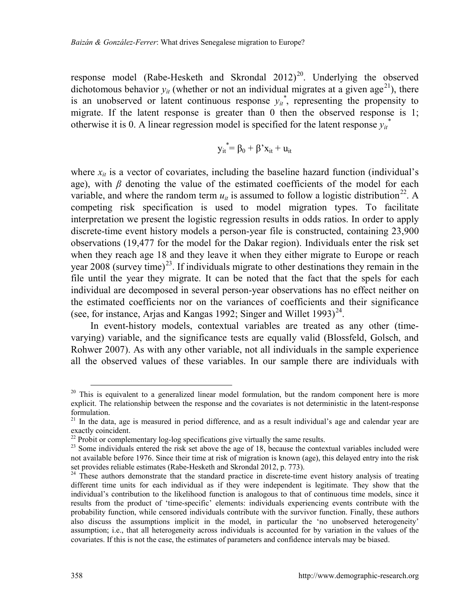response model (Rabe-Hesketh and Skrondal  $2012)^{20}$ . Underlying the observed dichotomous behavior  $y_{it}$  (whether or not an individual migrates at a given age<sup>21</sup>), there is an unobserved or latent continuous response  $y_{it}^*$ , representing the propensity to migrate. If the latent response is greater than 0 then the observed response is 1; otherwise it is 0. A linear regression model is specified for the latent response  $y_{it}^*$ 

$$
y_{it}^* = \beta_0 + \beta' x_{it} + u_{it}
$$

where  $x_{it}$  is a vector of covariates, including the baseline hazard function (individual's age), with  $\beta$  denoting the value of the estimated coefficients of the model for each variable, and where the random term  $u_{it}$  is assumed to follow a logistic distribution<sup>22</sup>. A competing risk specification is used to model migration types. To facilitate interpretation we present the logistic regression results in odds ratios. In order to apply discrete-time event history models a person-year file is constructed, containing 23,900 observations (19,477 for the model for the Dakar region). Individuals enter the risk set when they reach age 18 and they leave it when they either migrate to Europe or reach year  $2008$  (survey time)<sup>23</sup>. If individuals migrate to other destinations they remain in the file until the year they migrate. It can be noted that the fact that the spels for each individual are decomposed in several person-year observations has no effect neither on the estimated coefficients nor on the variances of coefficients and their significance (see, for instance, Arjas and Kangas 1992; Singer and Willet 1993) $^{24}$  $^{24}$  $^{24}$ .

In event-history models, contextual variables are treated as any other (timevarying) variable, and the significance tests are equally valid (Blossfeld, Golsch, and Rohwer 2007). As with any other variable, not all individuals in the sample experience all the observed values of these variables. In our sample there are individuals with

<span id="page-21-0"></span><sup>&</sup>lt;sup>20</sup> This is equivalent to a generalized linear model formulation, but the random component here is more explicit. The relationship between the response and the covariates is not deterministic in the latent-response formulation.

<span id="page-21-1"></span><sup>&</sup>lt;sup>21</sup> In the data, age is measured in period difference, and as a result individual's age and calendar year are exactly coincident.<br><sup>22</sup> Probit or complementary log-log specifications give virtually the same results.

<span id="page-21-2"></span>

<span id="page-21-3"></span><sup>&</sup>lt;sup>23</sup> Some individuals entered the risk set above the age of 18, because the contextual variables included were not available before 1976. Since their time at risk of migration is known (age), this delayed entry into the risk set provides reliable estimates (Rabe-Hesketh and Skrondal 2012, p. 773).

<span id="page-21-4"></span> $24$  These authors demonstrate that the standard practice in discrete-time event history analysis of treating different time units for each individual as if they were independent is legitimate. They show that the individual's contribution to the likelihood function is analogous to that of continuous time models, since it results from the product of 'time-specific' elements: individuals experiencing events contribute with the probability function, while censored individuals contribute with the survivor function. Finally, these authors also discuss the assumptions implicit in the model, in particular the 'no unobserved heterogeneity' assumption; i.e., that all heterogeneity across individuals is accounted for by variation in the values of the covariates. If this is not the case, the estimates of parameters and confidence intervals may be biased.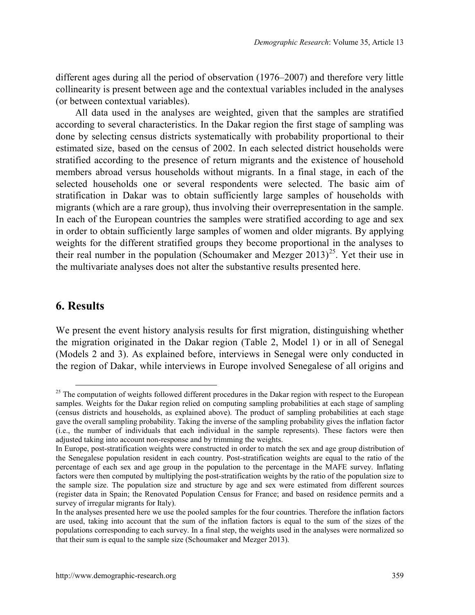different ages during all the period of observation  $(1976-2007)$  and therefore very little collinearity is present between age and the contextual variables included in the analyses (or between contextual variables).

All data used in the analyses are weighted, given that the samples are stratified according to several characteristics. In the Dakar region the first stage of sampling was done by selecting census districts systematically with probability proportional to their estimated size, based on the census of 2002. In each selected district households were stratified according to the presence of return migrants and the existence of household members abroad versus households without migrants. In a final stage, in each of the selected households one or several respondents were selected. The basic aim of stratification in Dakar was to obtain sufficiently large samples of households with migrants (which are a rare group), thus involving their overrepresentation in the sample. In each of the European countries the samples were stratified according to age and sex in order to obtain sufficiently large samples of women and older migrants. By applying weights for the different stratified groups they become proportional in the analyses to their real number in the population (Schoumaker and Mezger  $2013)^{25}$ . Yet their use in the multivariate analyses does not alter the substantive results presented here.

## **6. Results**

We present the event history analysis results for first migration, distinguishing whether the migration originated in the Dakar region (Table 2, Model 1) or in all of Senegal (Models 2 and 3). As explained before, interviews in Senegal were only conducted in the region of Dakar, while interviews in Europe involved Senegalese of all origins and

<span id="page-22-0"></span><sup>&</sup>lt;sup>25</sup> The computation of weights followed different procedures in the Dakar region with respect to the European samples. Weights for the Dakar region relied on computing sampling probabilities at each stage of sampling (census districts and households, as explained above). The product of sampling probabilities at each stage gave the overall sampling probability. Taking the inverse of the sampling probability gives the inflation factor (i.e., the number of individuals that each individual in the sample represents). These factors were then adjusted taking into account non-response and by trimming the weights.

In Europe, post-stratification weights were constructed in order to match the sex and age group distribution of the Senegalese population resident in each country. Post-stratification weights are equal to the ratio of the percentage of each sex and age group in the population to the percentage in the MAFE survey. Inflating factors were then computed by multiplying the post-stratification weights by the ratio of the population size to the sample size. The population size and structure by age and sex were estimated from different sources (register data in Spain; the Renovated Population Census for France; and based on residence permits and a survey of irregular migrants for Italy).

In the analyses presented here we use the pooled samples for the four countries. Therefore the inflation factors are used, taking into account that the sum of the inflation factors is equal to the sum of the sizes of the populations corresponding to each survey. In a final step, the weights used in the analyses were normalized so that their sum is equal to the sample size (Schoumaker and Mezger 2013).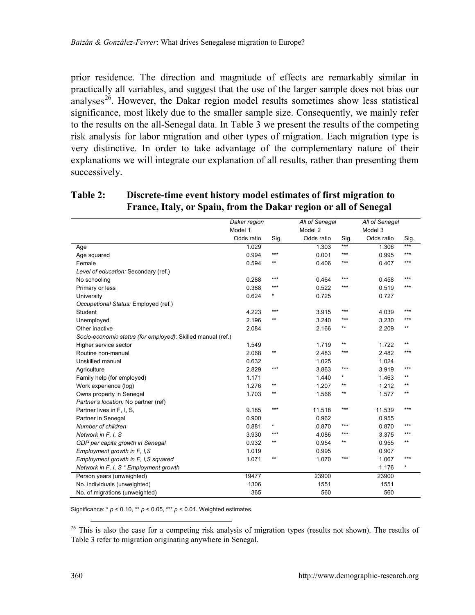prior residence. The direction and magnitude of effects are remarkably similar in practically all variables, and suggest that the use of the larger sample does not bias our analyses<sup>26</sup>. However, the Dakar region model results sometimes show less statistical significance, most likely due to the smaller sample size. Consequently, we mainly refer to the results on the all-Senegal data. In Table 3 we present the results of the competing risk analysis for labor migration and other types of migration. Each migration type is very distinctive. In order to take advantage of the complementary nature of their explanations we will integrate our explanation of all results, rather than presenting them successively.

#### **Table 2: Discrete-time event history model estimates of first migration to France, Italy, or Spain, from the Dakar region or all of Senegal**

|                                                             | Dakar region |              | All of Senegal |            | All of Senegal |              |
|-------------------------------------------------------------|--------------|--------------|----------------|------------|----------------|--------------|
|                                                             | Model 1      |              | Model 2        |            | Model 3        |              |
|                                                             | Odds ratio   | Sig.         | Odds ratio     | Sig.       | Odds ratio     | Sig.         |
| Age                                                         | 1.029        |              | 1.303          | $***$      | 1.306          | $***$        |
| Age squared                                                 | 0.994        | ***          | 0.001          | $***$      | 0.995          | $***$        |
| Female                                                      | 0.594        | $\star\star$ | 0.406          | $***$      | 0.407          | $***$        |
| Level of education: Secondary (ref.)                        |              |              |                |            |                |              |
| No schooling                                                | 0.288        | ***          | 0.464          | ***        | 0.458          | ***          |
| Primary or less                                             | 0.388        | ***          | 0.522          | ***        | 0.519          | $***$        |
| University                                                  | 0.624        | $\star$      | 0.725          |            | 0.727          |              |
| Occupational Status: Employed (ref.)                        |              |              |                |            |                |              |
| Student                                                     | 4.223        | ***          | 3.915          | ***        | 4.039          | ***          |
| Unemployed                                                  | 2.196        | $\star\star$ | 3.240          | ***        | 3.230          | ***          |
| Other inactive                                              | 2.084        |              | 2.166          | $***$      | 2.209          | $\star\star$ |
| Socio-economic status (for employed): Skilled manual (ref.) |              |              |                |            |                |              |
| Higher service sector                                       | 1.549        |              | 1.719          | $***$      | 1.722          | $\star\star$ |
| Routine non-manual                                          | 2.068        | $\star\star$ | 2.483          | $***$      | 2.482          | $***$        |
| Unskilled manual                                            | 0.632        |              | 1.025          |            | 1.024          |              |
| Agriculture                                                 | 2.829        | ***          | 3.863          | $***$      | 3.919          | ***          |
| Family help (for employed)                                  | 1.171        |              | 1.440          | $^{\star}$ | 1.463          | **           |
| Work experience (log)                                       | 1.276        | $\star\star$ | 1.207          | $***$      | 1.212          | $\star\star$ |
| Owns property in Senegal                                    | 1.703        | $\star\star$ | 1.566          | $***$      | 1.577          | $\star\star$ |
| Partner's location: No partner (ref)                        |              |              |                |            |                |              |
| Partner lives in F. I. S.                                   | 9.185        | ***          | 11.518         | ***        | 11.539         | ***          |
| Partner in Senegal                                          | 0.900        |              | 0.962          |            | 0.955          |              |
| Number of children                                          | 0.881        | $\star$      | 0.870          | $***$      | 0.870          | $***$        |
| Network in F, I, S                                          | 3.930        | ***          | 4.086          | $***$      | 3.375          | ***          |
| GDP per capita growth in Senegal                            | 0.932        | $***$        | 0.954          | $***$      | 0.955          | $\star\star$ |
| Employment growth in F, I, S                                | 1.019        |              | 0.995          |            | 0.907          |              |
| Employment growth in F, I, S squared                        | 1.071        | $\star\star$ | 1.070          | $***$      | 1.067          | ***          |
| Network in F, I, S * Employment growth                      |              |              |                |            | 1.176          | $^{\star}$   |
| Person years (unweighted)                                   | 19477        |              | 23900          |            | 23900          |              |
| No. individuals (unweighted)                                | 1306         |              | 1551           |            | 1551           |              |
| No. of migrations (unweighted)                              | 365          |              | 560            |            | 560            |              |

Significance: \* *p* < 0.10, \*\* *p* < 0.05, \*\*\* *p* < 0.01. Weighted estimates.

<span id="page-23-0"></span><sup>26</sup> This is also the case for a competing risk analysis of migration types (results not shown). The results of Table 3 refer to migration originating anywhere in Senegal.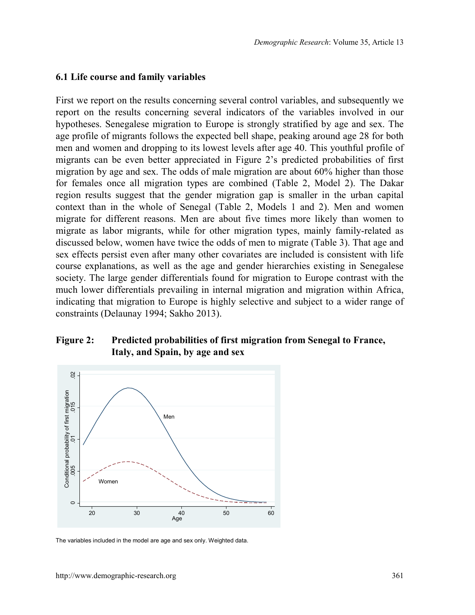#### **6.1 Life course and family variables**

First we report on the results concerning several control variables, and subsequently we report on the results concerning several indicators of the variables involved in our hypotheses. Senegalese migration to Europe is strongly stratified by age and sex. The age profile of migrants follows the expected bell shape, peaking around age 28 for both men and women and dropping to its lowest levels after age 40. This youthful profile of migrants can be even better appreciated in Figure 2's predicted probabilities of first migration by age and sex. The odds of male migration are about 60% higher than those for females once all migration types are combined (Table 2, Model 2). The Dakar region results suggest that the gender migration gap is smaller in the urban capital context than in the whole of Senegal (Table 2, Models 1 and 2). Men and women migrate for different reasons. Men are about five times more likely than women to migrate as labor migrants, while for other migration types, mainly family-related as discussed below, women have twice the odds of men to migrate (Table 3). That age and sex effects persist even after many other covariates are included is consistent with life course explanations, as well as the age and gender hierarchies existing in Senegalese society. The large gender differentials found for migration to Europe contrast with the much lower differentials prevailing in internal migration and migration within Africa, indicating that migration to Europe is highly selective and subject to a wider range of constraints (Delaunay 1994; Sakho 2013).

### **Figure 2: Predicted probabilities of first migration from Senegal to France, Italy, and Spain, by age and sex**



The variables included in the model are age and sex only. Weighted data.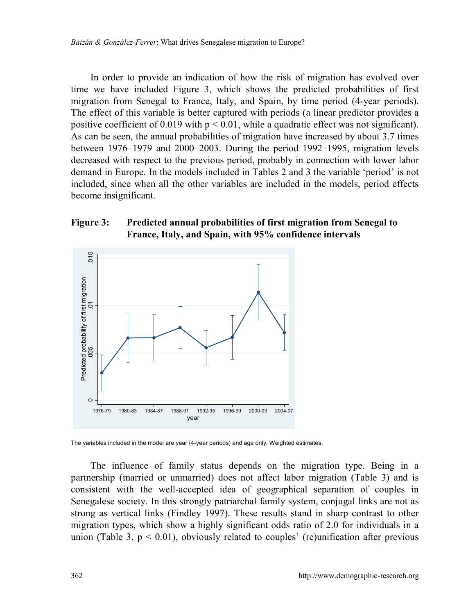In order to provide an indication of how the risk of migration has evolved over time we have included Figure 3, which shows the predicted probabilities of first migration from Senegal to France, Italy, and Spain, by time period (4-year periods). The effect of this variable is better captured with periods (a linear predictor provides a positive coefficient of 0.019 with  $p < 0.01$ , while a quadratic effect was not significant). As can be seen, the annual probabilities of migration have increased by about 3.7 times between  $1976-1979$  and  $2000-2003$ . During the period  $1992-1995$ , migration levels decreased with respect to the previous period, probably in connection with lower labor demand in Europe. In the models included in Tables 2 and 3 the variable 'period' is not included, since when all the other variables are included in the models, period effects become insignificant.

#### **Figure 3: Predicted annual probabilities of first migration from Senegal to France, Italy, and Spain, with 95% confidence intervals**



The variables included in the model are year (4-year periods) and age only. Weighted estimates.

The influence of family status depends on the migration type. Being in a partnership (married or unmarried) does not affect labor migration (Table 3) and is consistent with the well-accepted idea of geographical separation of couples in Senegalese society. In this strongly patriarchal family system, conjugal links are not as strong as vertical links (Findley 1997). These results stand in sharp contrast to other migration types, which show a highly significant odds ratio of 2.0 for individuals in a union (Table 3,  $p < 0.01$ ), obviously related to couples' (re)unification after previous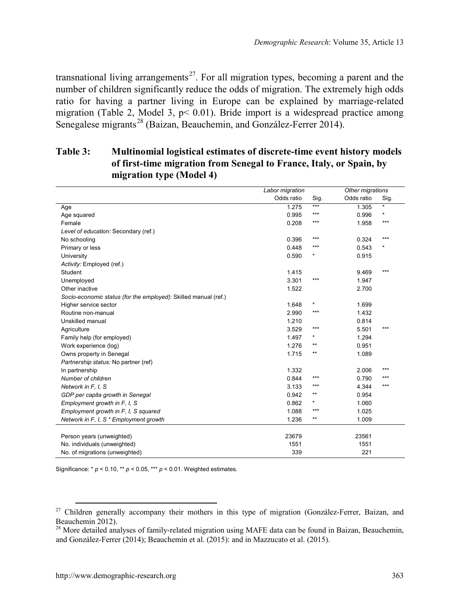transnational living arrangements<sup>27</sup>. For all migration types, becoming a parent and the number of children significantly reduce the odds of migration. The extremely high odds ratio for having a partner living in Europe can be explained by marriage-related migration (Table 2, Model 3,  $p < 0.01$ ). Bride import is a widespread practice among Senegalese migrants<sup>[28](#page-26-1)</sup> (Baizan, Beauchemin, and González-Ferrer 2014).

## **Table 3: Multinomial logistical estimates of discrete-time event history models of first-time migration from Senegal to France, Italy, or Spain, by migration type (Model 4)**

|                                                                 | Labor migration |              | Other migrations |      |
|-----------------------------------------------------------------|-----------------|--------------|------------------|------|
|                                                                 | Odds ratio      | Sig.         | Odds ratio       | Sig. |
| Age                                                             | 1.275           | $***$        | 1.305            | ×    |
| Age squared                                                     | 0.995           | $***$        | 0.996            | ×    |
| Female                                                          | 0.208           | $***$        | 1.958            | ***  |
| Level of education: Secondary (ref.)                            |                 |              |                  |      |
| No schooling                                                    | 0.396           | $***$        | 0.324            | ***  |
| Primary or less                                                 | 0.448           | $***$        | 0.543            | ×    |
| University                                                      | 0.590           | *            | 0.915            |      |
| Activity: Employed (ref.)                                       |                 |              |                  |      |
| Student                                                         | 1.415           |              | 9.469            | ***  |
| Unemployed                                                      | 3.301           | $***$        | 1.947            |      |
| Other inactive                                                  | 1.522           |              | 2.700            |      |
| Socio-economic status (for the employed): Skilled manual (ref.) |                 |              |                  |      |
| Higher service sector                                           | 1.648           | $\star$      | 1.699            |      |
| Routine non-manual                                              | 2.990           | $***$        | 1.432            |      |
| Unskilled manual                                                | 1.210           |              | 0.814            |      |
| Agriculture                                                     | 3.529           | $***$        | 5.501            | ***  |
| Family help (for employed)                                      | 1.497           | $\star$      | 1.294            |      |
| Work experience (log)                                           | 1.276           | $\star\star$ | 0.951            |      |
| Owns property in Senegal                                        | 1.715           | $***$        | 1.089            |      |
| Partnership status: No partner (ref)                            |                 |              |                  |      |
| In partnership                                                  | 1.332           |              | 2.006            | ***  |
| Number of children                                              | 0.844           | $***$        | 0.790            | ***  |
| Network in F, I, S                                              | 3.133           | $***$        | 4.344            | ***  |
| GDP per capita growth in Senegal                                | 0.942           | $***$        | 0.954            |      |
| Employment growth in F, I, S                                    | 0.862           |              | 1.060            |      |
| Employment growth in F. I. S squared                            | 1.088           | $***$        | 1.025            |      |
| Network in F, I, S * Employment growth                          | 1.236           | $***$        | 1.009            |      |
|                                                                 |                 |              |                  |      |
| Person years (unweighted)                                       | 23679           |              | 23561            |      |
| No. individuals (unweighted)                                    | 1551            |              | 1551             |      |
| No. of migrations (unweighted)                                  | 339             |              | 221              |      |

Significance: \* *p* < 0.10, \*\* *p* < 0.05, \*\*\* *p* < 0.01. Weighted estimates.

<span id="page-26-0"></span><sup>&</sup>lt;sup>27</sup> Children generally accompany their mothers in this type of migration (González-Ferrer, Baizan, and

<span id="page-26-1"></span>Beauchemin 2012).<br><sup>28</sup> More detailed analyses of family-related migration using MAFE data can be found in Baizan, Beauchemin, and González-Ferrer (2014); Beauchemin et al. (2015): and in Mazzucato et al. (2015).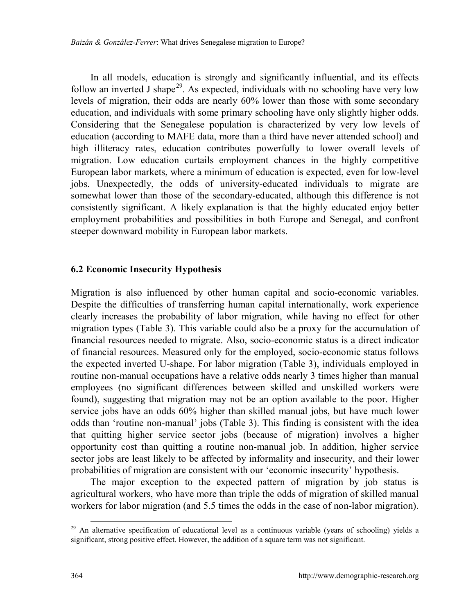In all models, education is strongly and significantly influential, and its effects follow an inverted J shape<sup>[29](#page-27-0)</sup>. As expected, individuals with no schooling have very low levels of migration, their odds are nearly 60% lower than those with some secondary education, and individuals with some primary schooling have only slightly higher odds. Considering that the Senegalese population is characterized by very low levels of education (according to MAFE data, more than a third have never attended school) and high illiteracy rates, education contributes powerfully to lower overall levels of migration. Low education curtails employment chances in the highly competitive European labor markets, where a minimum of education is expected, even for low-level jobs. Unexpectedly, the odds of university-educated individuals to migrate are somewhat lower than those of the secondary-educated, although this difference is not consistently significant. A likely explanation is that the highly educated enjoy better employment probabilities and possibilities in both Europe and Senegal, and confront steeper downward mobility in European labor markets.

#### **6.2 Economic Insecurity Hypothesis**

Migration is also influenced by other human capital and socio-economic variables. Despite the difficulties of transferring human capital internationally, work experience clearly increases the probability of labor migration, while having no effect for other migration types (Table 3). This variable could also be a proxy for the accumulation of financial resources needed to migrate. Also, socio-economic status is a direct indicator of financial resources. Measured only for the employed, socio-economic status follows the expected inverted U-shape. For labor migration (Table 3), individuals employed in routine non-manual occupations have a relative odds nearly 3 times higher than manual employees (no significant differences between skilled and unskilled workers were found), suggesting that migration may not be an option available to the poor. Higher service jobs have an odds 60% higher than skilled manual jobs, but have much lower odds than 'routine non-manual' jobs (Table 3). This finding is consistent with the idea that quitting higher service sector jobs (because of migration) involves a higher opportunity cost than quitting a routine non-manual job. In addition, higher service sector jobs are least likely to be affected by informality and insecurity, and their lower probabilities of migration are consistent with our 'economic insecurity' hypothesis.

The major exception to the expected pattern of migration by job status is agricultural workers, who have more than triple the odds of migration of skilled manual workers for labor migration (and 5.5 times the odds in the case of non-labor migration).

<span id="page-27-0"></span> $^{29}$  An alternative specification of educational level as a continuous variable (years of schooling) yields a significant, strong positive effect. However, the addition of a square term was not significant.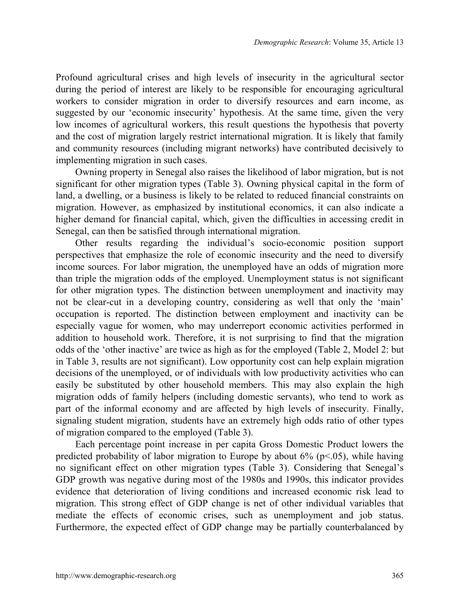Profound agricultural crises and high levels of insecurity in the agricultural sector during the period of interest are likely to be responsible for encouraging agricultural workers to consider migration in order to diversify resources and earn income, as suggested by our 'economic insecurity' hypothesis. At the same time, given the very low incomes of agricultural workers, this result questions the hypothesis that poverty and the cost of migration largely restrict international migration. It is likely that family and community resources (including migrant networks) have contributed decisively to implementing migration in such cases.

Owning property in Senegal also raises the likelihood of labor migration, but is not significant for other migration types (Table 3). Owning physical capital in the form of land, a dwelling, or a business is likely to be related to reduced financial constraints on migration. However, as emphasized by institutional economics, it can also indicate a higher demand for financial capital, which, given the difficulties in accessing credit in Senegal, can then be satisfied through international migration.

Other results regarding the individual's socio-economic position support perspectives that emphasize the role of economic insecurity and the need to diversify income sources. For labor migration, the unemployed have an odds of migration more than triple the migration odds of the employed. Unemployment status is not significant for other migration types. The distinction between unemployment and inactivity may not be clear-cut in a developing country, considering as well that only the 'main' occupation is reported. The distinction between employment and inactivity can be especially vague for women, who may underreport economic activities performed in addition to household work. Therefore, it is not surprising to find that the migration odds of the 'other inactive' are twice as high as for the employed (Table 2, Model 2: but in Table 3, results are not significant). Low opportunity cost can help explain migration decisions of the unemployed, or of individuals with low productivity activities who can easily be substituted by other household members. This may also explain the high migration odds of family helpers (including domestic servants), who tend to work as part of the informal economy and are affected by high levels of insecurity. Finally, signaling student migration, students have an extremely high odds ratio of other types of migration compared to the employed (Table 3).

Each percentage point increase in per capita Gross Domestic Product lowers the predicted probability of labor migration to Europe by about  $6\%$  ( $p<05$ ), while having no significant effect on other migration types (Table 3). Considering that Senegal's GDP growth was negative during most of the 1980s and 1990s, this indicator provides evidence that deterioration of living conditions and increased economic risk lead to migration. This strong effect of GDP change is net of other individual variables that mediate the effects of economic crises, such as unemployment and job status. Furthermore, the expected effect of GDP change may be partially counterbalanced by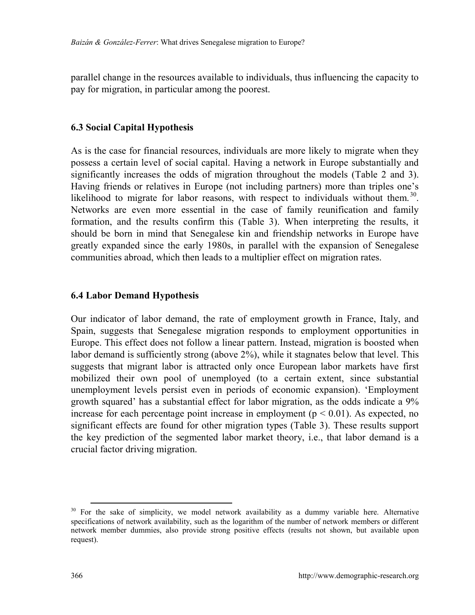parallel change in the resources available to individuals, thus influencing the capacity to pay for migration, in particular among the poorest.

#### **6.3 Social Capital Hypothesis**

As is the case for financial resources, individuals are more likely to migrate when they possess a certain level of social capital. Having a network in Europe substantially and significantly increases the odds of migration throughout the models (Table 2 and 3). Having friends or relatives in Europe (not including partners) more than triples one's likelihood to migrate for labor reasons, with respect to individuals without them.<sup>30</sup>. Networks are even more essential in the case of family reunification and family formation, and the results confirm this (Table 3). When interpreting the results, it should be born in mind that Senegalese kin and friendship networks in Europe have greatly expanded since the early 1980s, in parallel with the expansion of Senegalese communities abroad, which then leads to a multiplier effect on migration rates.

#### **6.4 Labor Demand Hypothesis**

Our indicator of labor demand, the rate of employment growth in France, Italy, and Spain, suggests that Senegalese migration responds to employment opportunities in Europe. This effect does not follow a linear pattern. Instead, migration is boosted when labor demand is sufficiently strong (above 2%), while it stagnates below that level. This suggests that migrant labor is attracted only once European labor markets have first mobilized their own pool of unemployed (to a certain extent, since substantial unemployment levels persist even in periods of economic expansion). 'Employment growth squared' has a substantial effect for labor migration, as the odds indicate a 9% increase for each percentage point increase in employment ( $p < 0.01$ ). As expected, no significant effects are found for other migration types (Table 3). These results support the key prediction of the segmented labor market theory, i.e., that labor demand is a crucial factor driving migration.

<span id="page-29-0"></span> $30$  For the sake of simplicity, we model network availability as a dummy variable here. Alternative specifications of network availability, such as the logarithm of the number of network members or different network member dummies, also provide strong positive effects (results not shown, but available upon request).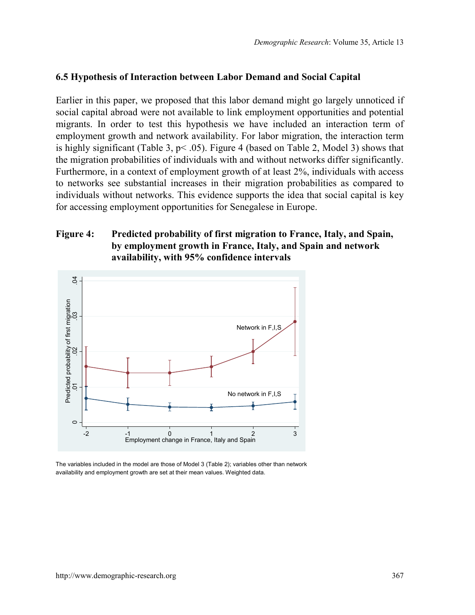### **6.5 Hypothesis of Interaction between Labor Demand and Social Capital**

Earlier in this paper, we proposed that this labor demand might go largely unnoticed if social capital abroad were not available to link employment opportunities and potential migrants. In order to test this hypothesis we have included an interaction term of employment growth and network availability. For labor migration, the interaction term is highly significant (Table 3,  $p < .05$ ). Figure 4 (based on Table 2, Model 3) shows that the migration probabilities of individuals with and without networks differ significantly. Furthermore, in a context of employment growth of at least 2%, individuals with access to networks see substantial increases in their migration probabilities as compared to individuals without networks. This evidence supports the idea that social capital is key for accessing employment opportunities for Senegalese in Europe.

## **Figure 4: Predicted probability of first migration to France, Italy, and Spain, by employment growth in France, Italy, and Spain and network availability, with 95% confidence intervals**



The variables included in the model are those of Model 3 (Table 2); variables other than network availability and employment growth are set at their mean values. Weighted data.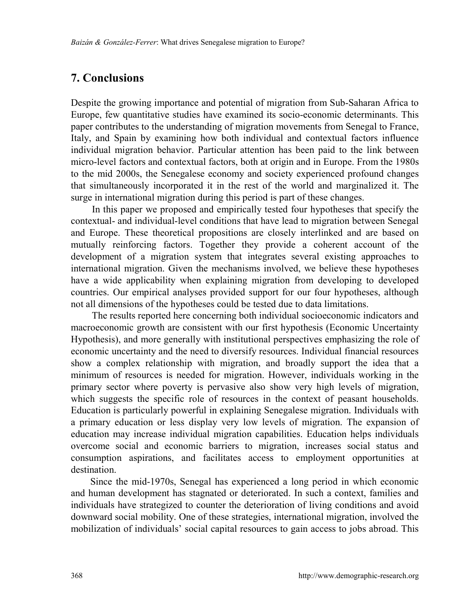# **7. Conclusions**

Despite the growing importance and potential of migration from Sub-Saharan Africa to Europe, few quantitative studies have examined its socio-economic determinants. This paper contributes to the understanding of migration movements from Senegal to France, Italy, and Spain by examining how both individual and contextual factors influence individual migration behavior. Particular attention has been paid to the link between micro-level factors and contextual factors, both at origin and in Europe. From the 1980s to the mid 2000s, the Senegalese economy and society experienced profound changes that simultaneously incorporated it in the rest of the world and marginalized it. The surge in international migration during this period is part of these changes.

In this paper we proposed and empirically tested four hypotheses that specify the contextual- and individual-level conditions that have lead to migration between Senegal and Europe. These theoretical propositions are closely interlinked and are based on mutually reinforcing factors. Together they provide a coherent account of the development of a migration system that integrates several existing approaches to international migration. Given the mechanisms involved, we believe these hypotheses have a wide applicability when explaining migration from developing to developed countries. Our empirical analyses provided support for our four hypotheses, although not all dimensions of the hypotheses could be tested due to data limitations.

The results reported here concerning both individual socioeconomic indicators and macroeconomic growth are consistent with our first hypothesis (Economic Uncertainty Hypothesis), and more generally with institutional perspectives emphasizing the role of economic uncertainty and the need to diversify resources. Individual financial resources show a complex relationship with migration, and broadly support the idea that a minimum of resources is needed for migration. However, individuals working in the primary sector where poverty is pervasive also show very high levels of migration, which suggests the specific role of resources in the context of peasant households. Education is particularly powerful in explaining Senegalese migration. Individuals with a primary education or less display very low levels of migration. The expansion of education may increase individual migration capabilities. Education helps individuals overcome social and economic barriers to migration, increases social status and consumption aspirations, and facilitates access to employment opportunities at destination.

Since the mid-1970s, Senegal has experienced a long period in which economic and human development has stagnated or deteriorated. In such a context, families and individuals have strategized to counter the deterioration of living conditions and avoid downward social mobility. One of these strategies, international migration, involved the mobilization of individuals' social capital resources to gain access to jobs abroad. This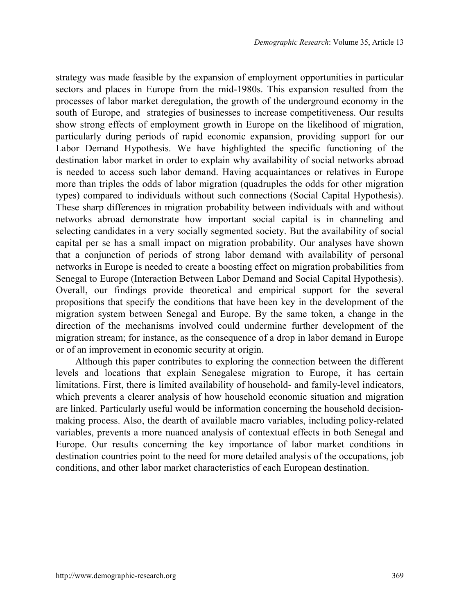strategy was made feasible by the expansion of employment opportunities in particular sectors and places in Europe from the mid-1980s. This expansion resulted from the processes of labor market deregulation, the growth of the underground economy in the south of Europe, and strategies of businesses to increase competitiveness. Our results show strong effects of employment growth in Europe on the likelihood of migration, particularly during periods of rapid economic expansion, providing support for our Labor Demand Hypothesis. We have highlighted the specific functioning of the destination labor market in order to explain why availability of social networks abroad is needed to access such labor demand. Having acquaintances or relatives in Europe more than triples the odds of labor migration (quadruples the odds for other migration types) compared to individuals without such connections (Social Capital Hypothesis). These sharp differences in migration probability between individuals with and without networks abroad demonstrate how important social capital is in channeling and selecting candidates in a very socially segmented society. But the availability of social capital per se has a small impact on migration probability. Our analyses have shown that a conjunction of periods of strong labor demand with availability of personal networks in Europe is needed to create a boosting effect on migration probabilities from Senegal to Europe (Interaction Between Labor Demand and Social Capital Hypothesis). Overall, our findings provide theoretical and empirical support for the several propositions that specify the conditions that have been key in the development of the migration system between Senegal and Europe. By the same token, a change in the direction of the mechanisms involved could undermine further development of the migration stream; for instance, as the consequence of a drop in labor demand in Europe or of an improvement in economic security at origin.

Although this paper contributes to exploring the connection between the different levels and locations that explain Senegalese migration to Europe, it has certain limitations. First, there is limited availability of household- and family-level indicators, which prevents a clearer analysis of how household economic situation and migration are linked. Particularly useful would be information concerning the household decisionmaking process. Also, the dearth of available macro variables, including policy-related variables, prevents a more nuanced analysis of contextual effects in both Senegal and Europe. Our results concerning the key importance of labor market conditions in destination countries point to the need for more detailed analysis of the occupations, job conditions, and other labor market characteristics of each European destination.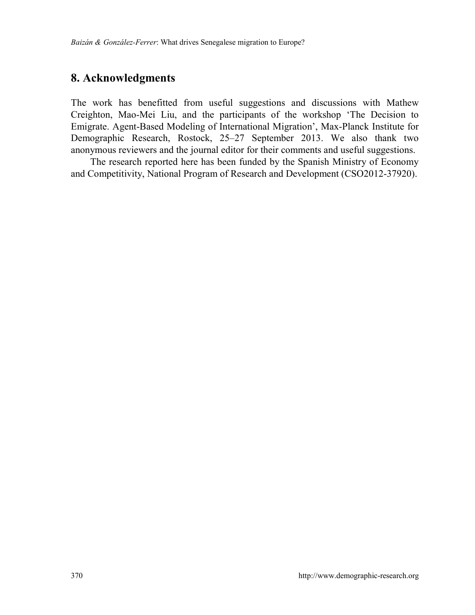## **8. Acknowledgments**

The work has benefitted from useful suggestions and discussions with Mathew Creighton, Mao-Mei Liu, and the participants of the workshop 'The Decision to Emigrate. Agent-Based Modeling of International Migration', Max-Planck Institute for Demographic Research, Rostock, 25–27 September 2013. We also thank two anonymous reviewers and the journal editor for their comments and useful suggestions.

The research reported here has been funded by the Spanish Ministry of Economy and Competitivity, National Program of Research and Development (CSO2012-37920).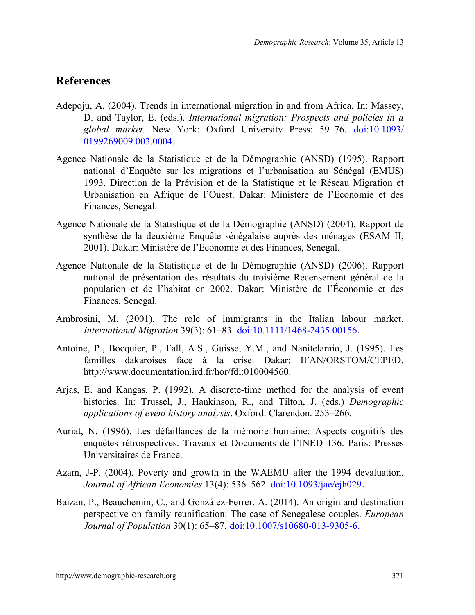## **References**

- Adepoju, A. (2004). Trends in international migration in and from Africa. In: Massey, D. and Taylor, E. (eds.). *International migration: Prospects and policies in a global market.* New York: Oxford University Press: 59‒76. [doi:10.1093/](http://dx.doi.org/10.1093/0199269009.003.0004) [0199269009.003.0004.](http://dx.doi.org/10.1093/0199269009.003.0004)
- Agence Nationale de la Statistique et de la Démographie (ANSD) (1995). Rapport national d'Enquête sur les migrations et l'urbanisation au Sénégal (EMUS) 1993. Direction de la Prévision et de la Statistique et le Réseau Migration et Urbanisation en Afrique de l'Ouest. Dakar: Ministère de l'Economie et des Finances, Senegal.
- Agence Nationale de la Statistique et de la Démographie (ANSD) (2004). Rapport de synthèse de la deuxième Enquête sénégalaise auprès des ménages (ESAM II, 2001). Dakar: Ministère de l'Economie et des Finances, Senegal.
- Agence Nationale de la Statistique et de la Démographie (ANSD) (2006). Rapport national de présentation des résultats du troisième Recensement général de la population et de l'habitat en 2002. Dakar: Ministère de l'Économie et des Finances, Senegal.
- Ambrosini, M. (2001). The role of immigrants in the Italian labour market. *International Migration* 39(3): 61‒83. [doi:10.1111/1468-2435.00156](http://dx.doi.org/10.1111/1468-2435.00156).
- Antoine, P., Bocquier, P., Fall, A.S., Guisse, Y.M., and Nanitelamio, J. (1995). Les familles dakaroises face à la crise. Dakar: IFAN/ORSTOM/CEPED. http://www.documentation.ird.fr/hor/fdi:010004560.
- Arjas, E. and Kangas, P. (1992). A discrete-time method for the analysis of event histories. In: Trussel, J., Hankinson, R., and Tilton, J. (eds.) *Demographic*  applications of event history analysis. Oxford: Clarendon. 253-266.
- Auriat, N. (1996). Les défaillances de la mémoire humaine: Aspects cognitifs des enquêtes rétrospectives. Travaux et Documents de l'INED 136. Paris: Presses Universitaires de France.
- Azam, J-P. (2004). Poverty and growth in the WAEMU after the 1994 devaluation. *Journal of African Economies* 13(4): 536‒562. [doi:10.1093/jae/ejh029](http://dx.doi.org/10.1093/jae/ejh029).
- Baizan, P., Beauchemin, C., and González-Ferrer, A. (2014). An origin and destination perspective on family reunification: The case of Senegalese couples. *European Journal of Population* 30(1): 65‒87. [doi:10.1007/s10680-013-9305-6.](http://dx.doi.org/10.1007/s10680-013-9305-6)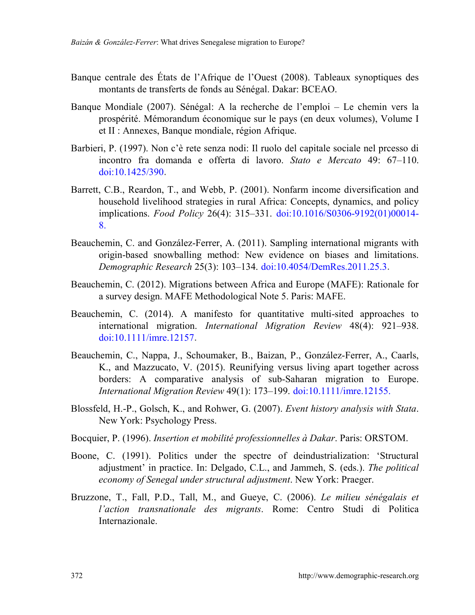- Banque centrale des États de l'Afrique de l'Ouest (2008). Tableaux synoptiques des montants de transferts de fonds au Sénégal. Dakar: BCEAO.
- Banque Mondiale (2007). Sénégal: A la recherche de l'emploi Le chemin vers la prospérité. Mémorandum économique sur le pays (en deux volumes), Volume I et II : Annexes, Banque mondiale, région Afrique.
- Barbieri, P. (1997). Non c'è rete senza nodi: Il ruolo del capitale sociale nel prcesso di incontro fra domanda e offerta di lavoro. *Stato e Mercato* 49: 67‒110. [doi:10.1425/390](http://dx.doi.org/10.1425/390).
- Barrett, C.B., Reardon, T., and Webb, P. (2001). Nonfarm income diversification and household livelihood strategies in rural Africa: Concepts, dynamics, and policy implications. *Food Policy* 26(4): 315‒331. [doi:10.1016/S0306-9192\(01\)00014-](http://dx.doi.org/10.1016/S0306-9192(01)00014-8) [8.](http://dx.doi.org/10.1016/S0306-9192(01)00014-8)
- Beauchemin, C. and González-Ferrer, A. (2011). Sampling international migrants with origin-based snowballing method: New evidence on biases and limitations. *Demographic Research* 25(3): 103‒134. [doi:10.4054/DemRes.2011.25.3](http://dx.doi.org/10.4054/DemRes.2011.25.3).
- Beauchemin, C. (2012). Migrations between Africa and Europe (MAFE): Rationale for a survey design. MAFE Methodological Note 5. Paris: MAFE.
- Beauchemin, C. (2014). A manifesto for quantitative multi-sited approaches to international migration. *International Migration Review* 48(4): 921–938. [doi:10.1111/imre.12157](http://dx.doi.org/10.1111/imre.12157).
- Beauchemin, C., Nappa, J., Schoumaker, B., Baizan, P., González-Ferrer, A., Caarls, K., and Mazzucato, V. (2015). Reunifying versus living apart together across borders: A comparative analysis of sub-Saharan migration to Europe. *International Migration Review* 49(1): 173–199. [doi:10.1111/imre.12155.](http://dx.doi.org/10.1111/imre.12155)
- Blossfeld, H.-P., Golsch, K., and Rohwer, G. (2007). *Event history analysis with Stata*. New York: Psychology Press.
- Bocquier, P. (1996). *Insertion et mobilité professionnelles à Dakar*. Paris: ORSTOM.
- Boone, C. (1991). Politics under the spectre of deindustrialization: 'Structural adjustment' in practice. In: Delgado, C.L., and Jammeh, S. (eds.). *The political economy of Senegal under structural adjustment*. New York: Praeger.
- Bruzzone, T., Fall, P.D., Tall, M., and Gueye, C. (2006). *Le milieu sénégalais et l'action transnationale des migrants*. Rome: Centro Studi di Politica Internazionale.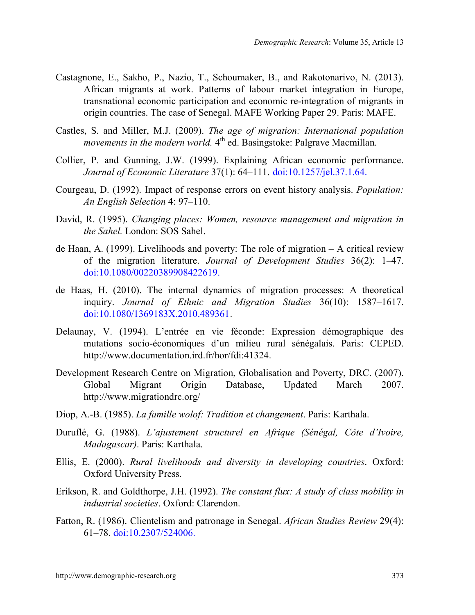- Castagnone, E., Sakho, P., Nazio, T., Schoumaker, B., and Rakotonarivo, N. (2013). African migrants at work. Patterns of labour market integration in Europe, transnational economic participation and economic re-integration of migrants in origin countries. The case of Senegal. MAFE Working Paper 29. Paris: MAFE.
- Castles, S. and Miller, M.J. (2009). *The age of migration: International population movements in the modern world.* 4<sup>th</sup> ed. Basingstoke: Palgrave Macmillan.
- Collier, P. and Gunning, J.W. (1999). Explaining African economic performance. *Journal of Economic Literature* 37(1): 64–111. [doi:10.1257/jel.37.1.64.](http://dx.doi.org/10.1257/jel.37.1.64)
- Courgeau, D. (1992). Impact of response errors on event history analysis. *Population: An English Selection* 4: 97‒110.
- David, R. (1995). *Changing places: Women, resource management and migration in the Sahel.* London: SOS Sahel.
- de Haan, A. (1999). Livelihoods and poverty: The role of migration  $A$  critical review of the migration literature. *Journal of Development Studies* 36(2): 1‒47. [doi:10.1080/00220389908422619.](http://dx.doi.org/10.1080/00220389908422619)
- de Haas, H. (2010). The internal dynamics of migration processes: A theoretical inquiry. *Journal of Ethnic and Migration Studies* 36(10): 1587–1617. [doi:10.1080/1369183X.2010.489361](http://dx.doi.org/10.1080/1369183X.2010.489361).
- Delaunay, V. (1994). L'entrée en vie féconde: Expression démographique des mutations socio-économiques d'un milieu rural sénégalais. Paris: CEPED. http://www.documentation.ird.fr/hor/fdi:41324.
- Development Research Centre on Migration, Globalisation and Poverty, DRC. (2007). Global Migrant Origin Database, Updated March 2007. http://www.migrationdrc.org/
- Diop, A.-B. (1985). *La famille wolof: Tradition et changement*. Paris: Karthala.
- Duruflé, G. (1988). *L'ajustement structurel en Afrique (Sénégal, Côte d'Ivoire, Madagascar)*. Paris: Karthala.
- Ellis, E. (2000). *Rural livelihoods and diversity in developing countries*. Oxford: Oxford University Press.
- Erikson, R. and Goldthorpe, J.H. (1992). *The constant flux: A study of class mobility in industrial societies*. Oxford: Clarendon.
- Fatton, R. (1986). Clientelism and patronage in Senegal. *African Studies Review* 29(4): 61‒78. [doi:10.2307/524006.](http://dx.doi.org/10.2307/524006)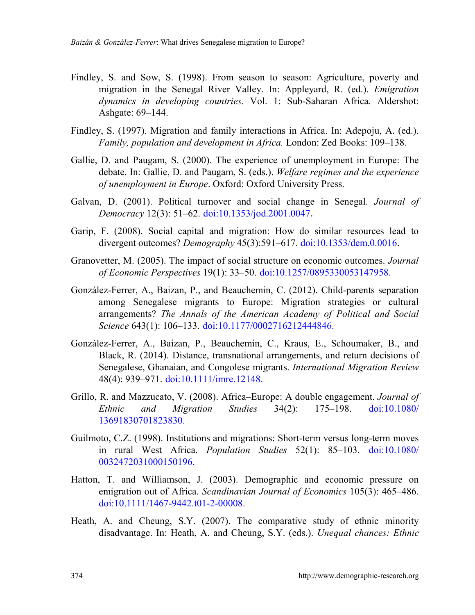- Findley, S. and Sow, S. (1998). From season to season: Agriculture, poverty and migration in the Senegal River Valley. In: Appleyard, R. (ed.). *Emigration dynamics in developing countries*. Vol. 1: Sub-Saharan Africa*.* Aldershot: Ashgate: 69–144.
- Findley, S. (1997). Migration and family interactions in Africa. In: Adepoju, A. (ed.). *Family, population and development in Africa.* London: Zed Books: 109–138.
- Gallie, D. and Paugam, S. (2000). The experience of unemployment in Europe: The debate. In: Gallie, D. and Paugam, S. (eds.). *Welfare regimes and the experience of unemployment in Europe*. Oxford: Oxford University Press.
- Galvan, D. (2001). Political turnover and social change in Senegal. *Journal of Democracy* 12(3): 51‒62. [doi:10.1353/jod.2001.0047](http://dx.doi.org/10.1353/jod.2001.0047).
- Garip, F. (2008). Social capital and migration: How do similar resources lead to divergent outcomes? *Demography* 45(3):591–617. [doi:10.1353/dem.0.0016.](http://link.springer.com/article/10.1353/dem.0.0016)
- Granovetter, M. (2005). The impact of social structure on economic outcomes. *Journal of Economic Perspectives* 19(1): 33‒50. [doi:10.1257/0895330053147958.](http://dx.doi.org/10.1257/0895330053147958)
- González-Ferrer, A., Baizan, P., and Beauchemin, C. (2012). Child-parents separation among Senegalese migrants to Europe: Migration strategies or cultural arrangements? *The Annals of the American Academy of Political and Social Science* 643(1): 106‒133. [doi:10.1177/0002716212444846.](http://dx.doi.org/10.1177/0002716212444846)
- González-Ferrer, A., Baizan, P., Beauchemin, C., Kraus, E., Schoumaker, B., and Black, R. (2014). Distance, transnational arrangements, and return decisions of Senegalese, Ghanaian, and Congolese migrants. *International Migration Review* 48(4): 939–971. [doi:10.1111/imre.12148.](http://dx.doi.org/10.1111/imre.12148)
- Grillo, R. and Mazzucato, V. (2008). Africa-Europe: A double engagement. *Journal of Ethnic and Migration Studies* 34(2): 175‒198. [doi:10.1080/](http://dx.doi.org/10.1080/13691830701823830) [13691830701823830.](http://dx.doi.org/10.1080/13691830701823830)
- Guilmoto, C.Z. (1998). Institutions and migrations: Short-term versus long-term moves in rural West Africa. *Population Studies* 52(1): 85–103. [doi:10.1080/](http://dx.doi.org/10.1080/0032472031000150196) [0032472031000150196.](http://dx.doi.org/10.1080/0032472031000150196)
- Hatton, T. and Williamson, J. (2003). Demographic and economic pressure on emigration out of Africa. *Scandinavian Journal of Economics* 105(3): 465–486. [doi:10.1111/1467-9442.t01-2-00008.](http://dx.doi.org/10.1111/1467-9442.t01-2-00008)
- Heath, A. and Cheung, S.Y. (2007). The comparative study of ethnic minority disadvantage. In: Heath, A. and Cheung, S.Y. (eds.). *Unequal chances: Ethnic*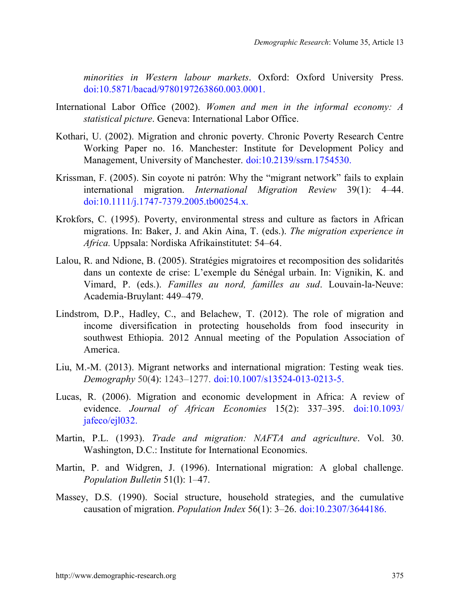*minorities in Western labour markets*. Oxford: Oxford University Press. [doi:10.5871/bacad/9780197263860.003.0001.](http://dx.doi.org/10.5871/bacad/9780197263860.003.0001)

- International Labor Office (2002). *Women and men in the informal economy: A statistical picture*. Geneva: International Labor Office.
- Kothari, U. (2002). Migration and chronic poverty. Chronic Poverty Research Centre Working Paper no. 16. Manchester: Institute for Development Policy and Management, University of Manchester. [doi:10.2139/ssrn.1754530.](http://dx.doi.org/10.2139/ssrn.1754530)
- Krissman, F. (2005). Sin coyote ni patrón: Why the "migrant network" fails to explain international migration. *International Migration Review* 39(1): 4–44. [doi:10.1111/j.1747-7379.2005.tb00254.x.](http://dx.doi.org/10.1111/j.1747-7379.2005.tb00254.x)
- Krokfors, C. (1995). Poverty, environmental stress and culture as factors in African migrations. In: Baker, J. and Akin Aina, T. (eds.). *The migration experience in Africa.* Uppsala: Nordiska Afrikainstitutet: 54‒64.
- Lalou, R. and Ndione, B. (2005). Stratégies migratoires et recomposition des solidarités dans un contexte de crise: L'exemple du Sénégal urbain. In: Vignikin, K. and Vimard, P. (eds.). *Familles au nord, familles au sud*. Louvain-la-Neuve: Academia-Bruylant: 449–479.
- Lindstrom, D.P., Hadley, C., and Belachew, T. (2012). The role of migration and income diversification in protecting households from food insecurity in southwest Ethiopia. 2012 Annual meeting of the Population Association of America.
- Liu, M.-M. (2013). Migrant networks and international migration: Testing weak ties. *Demography* 50(4): 1243‒1277. [doi:10.1007/s13524-013-0213-5.](http://dx.doi.org/10.1007/s13524-013-0213-5)
- Lucas, R. (2006). Migration and economic development in Africa: A review of evidence. *Journal of African Economies* 15(2): 337‒395. [doi:10.1093/](http://dx.doi.org/10.1093/jafeco/ejl032) [jafeco/ejl032.](http://dx.doi.org/10.1093/jafeco/ejl032)
- Martin, P.L. (1993). *Trade and migration: NAFTA and agriculture*. Vol. 30. Washington, D.C.: Institute for International Economics.
- Martin, P. and Widgren, J. (1996). International migration: A global challenge. *Population Bulletin* 51(1): 1–47.
- Massey, D.S. (1990). Social structure, household strategies, and the cumulative causation of migration. *Population Index* 56(1): 3‒26. [doi:10.2307/3644186.](http://dx.doi.org/10.2307/3644186)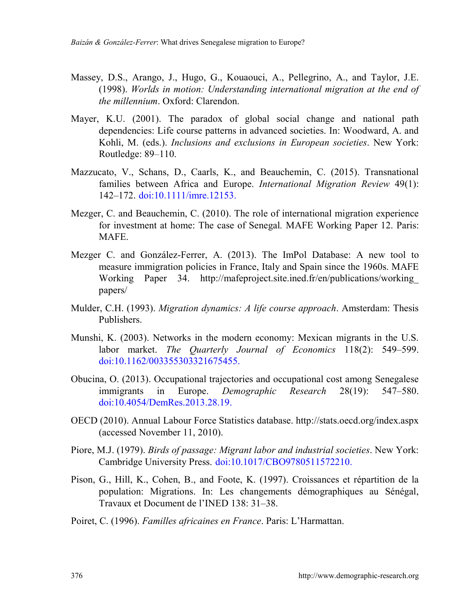- Massey, D.S., Arango, J., Hugo, G., Kouaouci, A., Pellegrino, A., and Taylor, J.E. (1998). *Worlds in motion: Understanding international migration at the end of the millennium*. Oxford: Clarendon.
- Mayer, K.U. (2001). The paradox of global social change and national path dependencies: Life course patterns in advanced societies. In: Woodward, A. and Kohli, M. (eds.). *Inclusions and exclusions in European societies*. New York: Routledge:  $89-110$ .
- Mazzucato, V., Schans, D., Caarls, K., and Beauchemin, C. (2015). Transnational families between Africa and Europe. *International Migration Review* 49(1): 142–172. [doi:10.1111/imre.12153.](http://dx.doi.org/10.1111/imre.12153)
- Mezger, C. and Beauchemin, C. (2010). The role of international migration experience for investment at home: The case of Senegal*.* MAFE Working Paper 12. Paris: MAFE.
- Mezger C. and González-Ferrer, A. (2013). The ImPol Database: A new tool to measure immigration policies in France, Italy and Spain since the 1960s. MAFE Working Paper 34. http://mafeproject.site.ined.fr/en/publications/working\_ papers/
- Mulder, C.H. (1993). *Migration dynamics: A life course approach*. Amsterdam: Thesis Publishers.
- Munshi, K. (2003). Networks in the modern economy: Mexican migrants in the U.S. labor market. *The Quarterly Journal of Economics* 118(2): 549–599. [doi:10.1162/003355303321675455.](http://dx.doi.org/10.1162/003355303321675455)
- Obucina, O. (2013). Occupational trajectories and occupational cost among Senegalese immigrants in Europe. *Demographic Research* 28(19): 547–580. [doi:10.4054/DemRes.2013.28.19.](http://dx.doi.org/10.4054/DemRes.2013.28.19)
- OECD (2010). Annual Labour Force Statistics database. <http://stats.oecd.org/index.aspx> (accessed November 11, 2010).
- Piore, M.J. (1979). *Birds of passage: Migrant labor and industrial societies*. New York: Cambridge University Press. [doi:10.1017/CBO9780511572210.](http://dx.doi.org/10.1017/CBO9780511572210)
- Pison, G., Hill, K., Cohen, B., and Foote, K. (1997). Croissances et répartition de la population: Migrations. In: Les changements démographiques au Sénégal, Travaux et Document de l'INED 138: 31‒38.
- Poiret, C. (1996). *Familles africaines en France*. Paris: L'Harmattan.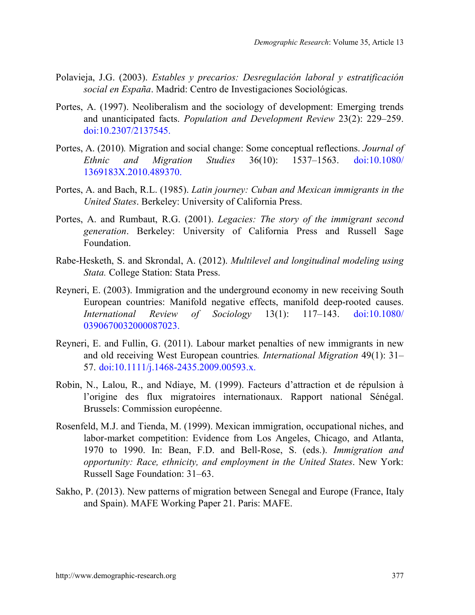- Polavieja, J.G. (2003). *Estables y precarios: Desregulación laboral y estratificación social en España*. Madrid: Centro de Investigaciones Sociológicas.
- Portes, A. (1997). Neoliberalism and the sociology of development: Emerging trends and unanticipated facts. *Population and Development Review 23(2): 229–259.* [doi:10.2307/2137545.](http://dx.doi.org/10.2307/2137545)
- Portes, A. (2010)*.* Migration and social change: Some conceptual reflections. *Journal of Ethnic and Migration Studies* 36(10): 1537‒1563. [doi:10.1080/](http://dx.doi.org/10.1080/1369183X.2010.489370) [1369183X.2010.489370.](http://dx.doi.org/10.1080/1369183X.2010.489370)
- Portes, A. and Bach, R.L. (1985). *Latin journey: Cuban and Mexican immigrants in the United States*. Berkeley: University of California Press.
- Portes, A. and Rumbaut, R.G. (2001). *Legacies: The story of the immigrant second generation*. Berkeley: University of California Press and Russell Sage Foundation.
- Rabe-Hesketh, S. and Skrondal, A. (2012). *Multilevel and longitudinal modeling using Stata.* College Station: Stata Press.
- Reyneri, E. (2003). Immigration and the underground economy in new receiving South European countries: Manifold negative effects, manifold deep-rooted causes. *International Review of Sociology* 13(1): 117‒143. [doi:10.1080/](http://dx.doi.org/10.1080/0390670032000087023) [0390670032000087023.](http://dx.doi.org/10.1080/0390670032000087023)
- Reyneri, E. and Fullin, G. (2011). Labour market penalties of new immigrants in new and old receiving West European countries. *International Migration* 49(1): 31– 57. [doi:10.1111/j.1468-2435.2009.00593.x.](http://dx.doi.org/10.1111/j.1468-2435.2009.00593.x)
- Robin, N., Lalou, R., and Ndiaye, M. (1999). Facteurs d'attraction et de répulsion à l'origine des flux migratoires internationaux. Rapport national Sénégal. Brussels: Commission européenne.
- Rosenfeld, M.J. and Tienda, M. (1999). Mexican immigration, occupational niches, and labor-market competition: Evidence from Los Angeles, Chicago, and Atlanta, 1970 to 1990. In: Bean, F.D. and Bell-Rose, S. (eds.). *Immigration and opportunity: Race, ethnicity, and employment in the United States*. New York: Russell Sage Foundation: 31–63.
- Sakho, P. (2013). New patterns of migration between Senegal and Europe (France, Italy and Spain). MAFE Working Paper 21. Paris: MAFE.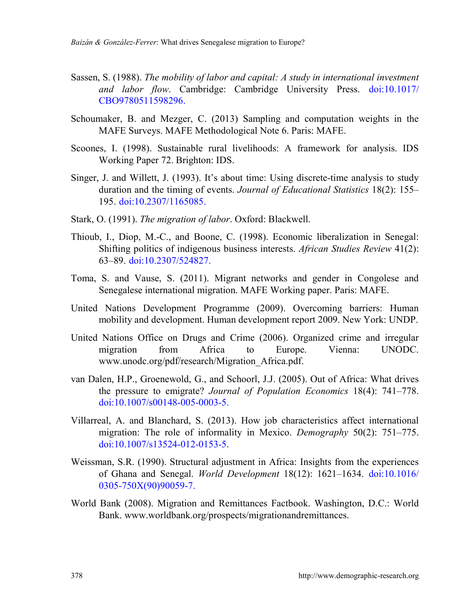- Sassen, S. (1988). *The mobility of labor and capital: A study in international investment and labor flow*. Cambridge: Cambridge University Press. [doi:10.1017/](http://dx.doi.org/10.1017/CBO9780511598296) [CBO9780511598296.](http://dx.doi.org/10.1017/CBO9780511598296)
- Schoumaker, B. and Mezger, C. (2013) Sampling and computation weights in the MAFE Surveys. MAFE Methodological Note 6. Paris: MAFE.
- Scoones, I. (1998). Sustainable rural livelihoods: A framework for analysis. IDS Working Paper 72. Brighton: IDS.
- Singer, J. and Willett, J. (1993). It's about time: Using discrete-time analysis to study duration and the timing of events. *Journal of Educational Statistics* 18(2): 155– 195. [doi:10.2307/1165085.](http://dx.doi.org/10.2307/1165085)
- Stark, O. (1991). *The migration of labor*. Oxford: Blackwell.
- Thioub, I., Diop, M.-C., and Boone, C. (1998). Economic liberalization in Senegal: Shifting politics of indigenous business interests. *African Studies Review* 41(2): 63‒89. [doi:10.2307/524827.](http://dx.doi.org/10.2307/524827)
- Toma, S. and Vause, S. (2011). Migrant networks and gender in Congolese and Senegalese international migration. MAFE Working paper. Paris: MAFE.
- United Nations Development Programme (2009). Overcoming barriers: Human mobility and development. Human development report 2009. New York: UNDP.
- United Nations Office on Drugs and Crime (2006). Organized crime and irregular migration from Africa to Europe. Vienna: UNODC. www.unodc.org/pdf/research/Migration\_Africa.pdf.
- van Dalen, H.P., Groenewold, G., and Schoorl, J.J. (2005). Out of Africa: What drives the pressure to emigrate? *Journal of Population Economics* 18(4): 741–778. [doi:10.1007/s00148-005-0003-5.](http://dx.doi.org/10.1007/s00148-005-0003-5)
- Villarreal, A. and Blanchard, S. (2013). How job characteristics affect international migration: The role of informality in Mexico. *Demography* 50(2): 751–775. [doi:10.1007/s13524-012-0153-5.](http://dx.doi.org/10.1007/s13524-012-0153-5)
- Weissman, S.R. (1990). Structural adjustment in Africa: Insights from the experiences of Ghana and Senegal. *World Development* 18(12): 1621‒1634. [doi:10.1016/](http://dx.doi.org/10.1016/0305-750X(90)90059-7) [0305-750X\(90\)90059-7.](http://dx.doi.org/10.1016/0305-750X(90)90059-7)
- World Bank (2008). Migration and Remittances Factbook. Washington, D.C.: World Bank. [www.worldbank.org/prospects/migrationandremittances.](http://www.worldbank.org/prospects/migrationandremittances)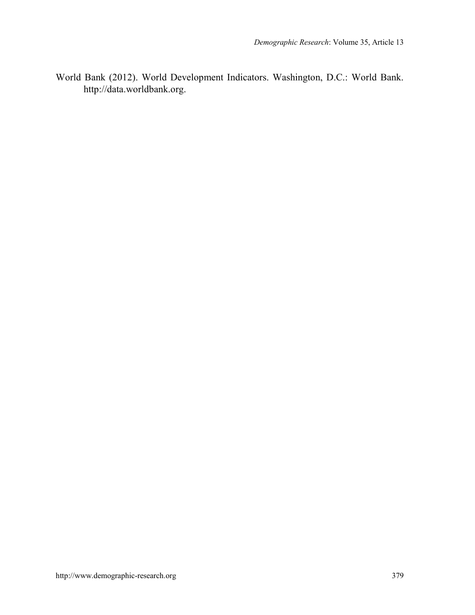World Bank (2012). World Development Indicators. Washington, D.C.: World Bank. http://data.worldbank.org.